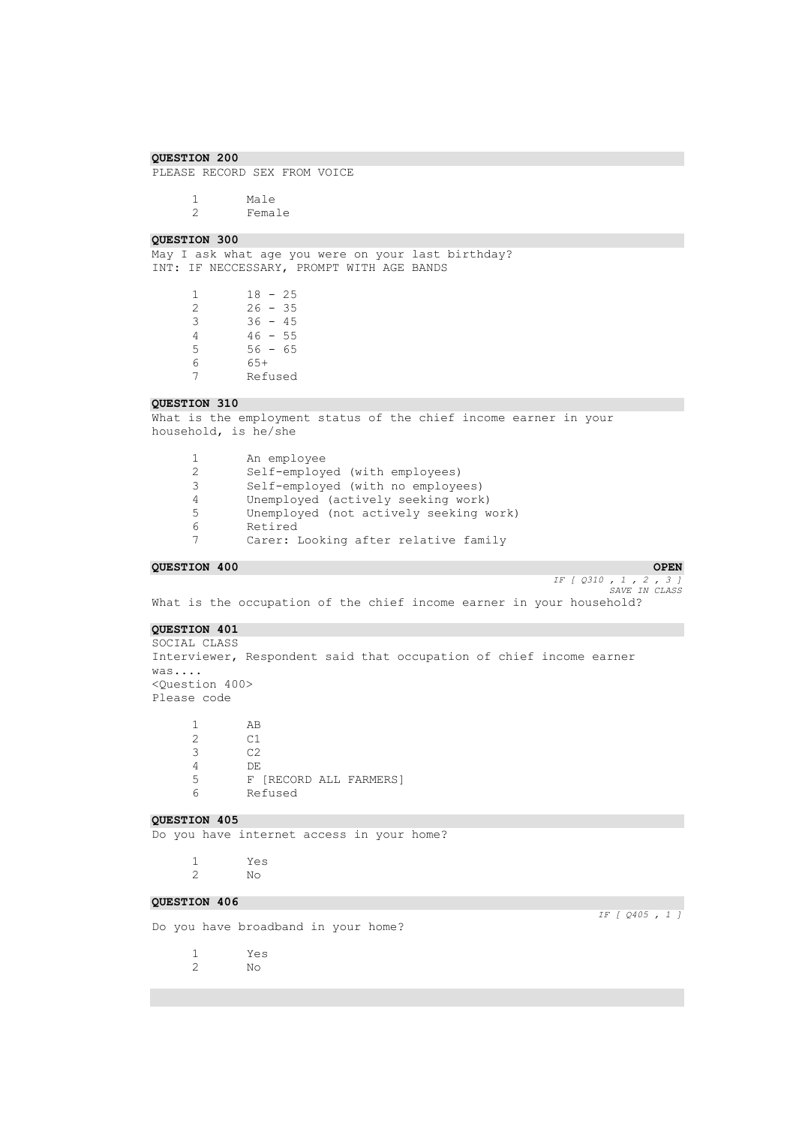PLEASE RECORD SEX FROM VOICE

1 Male<br>2 Femal Female

### **QUESTION 300**

May I ask what age you were on your last birthday? INT: IF NECCESSARY, PROMPT WITH AGE BANDS

> $\begin{array}{ccc} 1 & 18 & -25 \\ 2 & 26 & -35 \end{array}$ 2 26 - 35 3 36 - 45 4 46 - 55  $55 - 56 - 65$ 6 65+ 7 Refused

# **QUESTION 310**

What is the employment status of the chief income earner in your household, is he/she

|    | An employee                            |
|----|----------------------------------------|
|    | Self-employed (with employees)         |
| 3  | Self-employed (with no employees)      |
| 4  | Unemployed (actively seeking work)     |
| -5 | Unemployed (not actively seeking work) |
| 6  | Retired                                |
|    | Carer: Looking after relative family   |

**COURSTION 400** OPEN **OPEN OPEN** *IF [ Q310 , 1 , 2 , 3 ] SAVE IN CLASS* 

What is the occupation of the chief income earner in your household?

# **QUESTION 401**

SOCIAL CLASS Interviewer, Respondent said that occupation of chief income earner was.... <Question 400> Please code

 $\begin{array}{ccc} 1 & \quad & \text{AB} \\ 2 & \quad & \text{C1} \end{array}$  $\begin{array}{ccc} 2 & & c1 \\ 3 & & c2 \end{array}$  $C<sub>2</sub>$ 4 DE 5 F [RECORD ALL FARMERS] 6 Refused

# **QUESTION 405**

Do you have internet access in your home?

1 Yes 2 No

# **QUESTION 406**

Do you have broadband in your home?

1 Yes 2 No

*IF [ Q405 , 1 ]*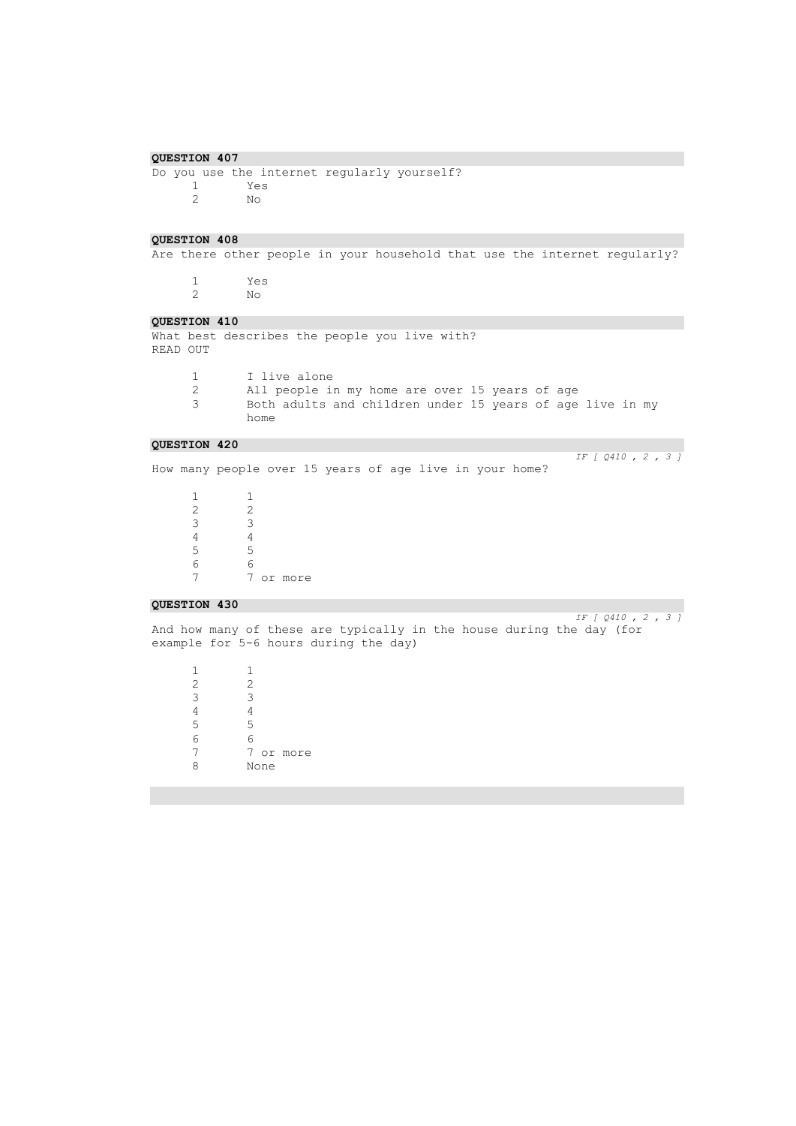Do you use the internet regularly yourself?<br>  $\frac{1}{1}$ 1 Yes 2 No

### **QUESTION 408**

Are there other people in your household that use the internet regularly?

1 Yes 2 No

### **QUESTION 410**

What best describes the people you live with? READ OUT

- 1 I live alone<br>2 All people is
- All people in my home are over 15 years of age 3 Both adults and children under 15 years of age live in my home

### **QUESTION 420**

How many people over 15 years of age live in your home?

 $\begin{array}{ccc} 1 & & 1 \\ 2 & & 2 \end{array}$  $\begin{array}{ccc} 2 & & 2 \\ 3 & & 3 \end{array}$  $\begin{array}{ccc} 3 & & 3 \\ 4 & & 4 \end{array}$  $rac{4}{5}$ 5 5 6 6 7 or more

### **QUESTION 430**

*IF [ Q410 , 2 , 3 ]* 

*IF [ Q410 , 2 , 3 ]* 

And how many of these are typically in the house during the day (for example for 5-6 hours during the day)

 $\begin{array}{ccc} 1 & & 1 \\ 2 & & 2 \end{array}$ 2 2  $\begin{array}{ccc} 3 & \hspace{1.5cm} & 3 \\ 4 & \hspace{1.5cm} & 4 \end{array}$  $\begin{array}{ccc} 4 & & 4 \\ 5 & & 5 \end{array}$ 5 5 6 6 7 or more 8 None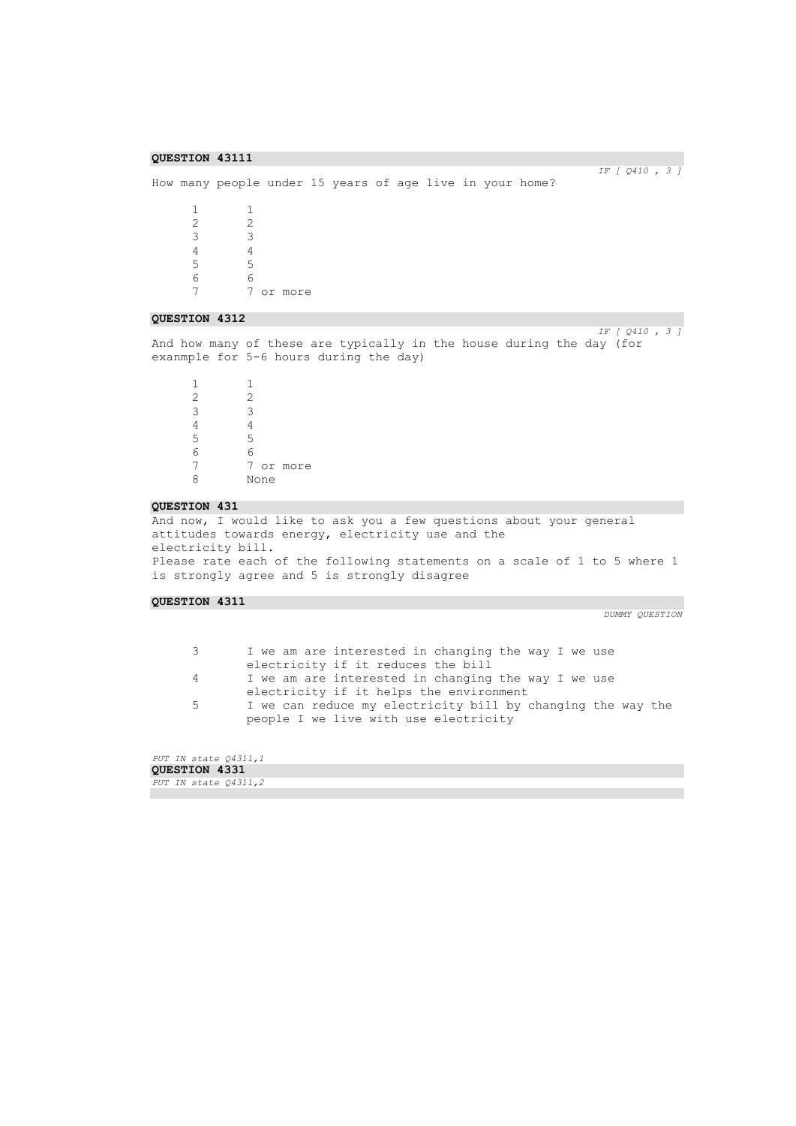*IF [ Q410 , 3 ]* 

```
How many people under 15 years of age live in your home?
         \begin{array}{ccc} 1 & \hspace{1.5cm} & 1 \\ 2 & \hspace{1.5cm} & 2 \end{array}2 2
                     3 3
         4 4<br>5 5
                     5 5
         6 6
         7 7 or more
```
### **QUESTION 4312**

*IF [ Q410 , 3 ]*  And how many of these are typically in the house during the day (for exanmple for 5-6 hours during the day)

1 1  $\begin{array}{ccc} 2 & & 2 \\ 3 & & 3 \end{array}$  $\begin{array}{ccc} 3 & & 3 \\ 4 & & 4 \end{array}$ 4 4 5 5 6 6 7 7 or more<br>8 None None

### **QUESTION 431**

And now, I would like to ask you a few questions about your general attitudes towards energy, electricity use and the electricity bill. Please rate each of the following statements on a scale of 1 to 5 where 1 is strongly agree and 5 is strongly disagree

### **QUESTION 4311**

```
3 I we am are interested in changing the way I we use 
       electricity if it reduces the bill
```
- 4 I we am are interested in changing the way I we use
	- electricity if it helps the environment
- 5 I we can reduce my electricity bill by changing the way the people I we live with use electricity

| PUT IN state 04311,1 |
|----------------------|
| QUESTION 4331        |
| PUT IN state 04311,2 |
|                      |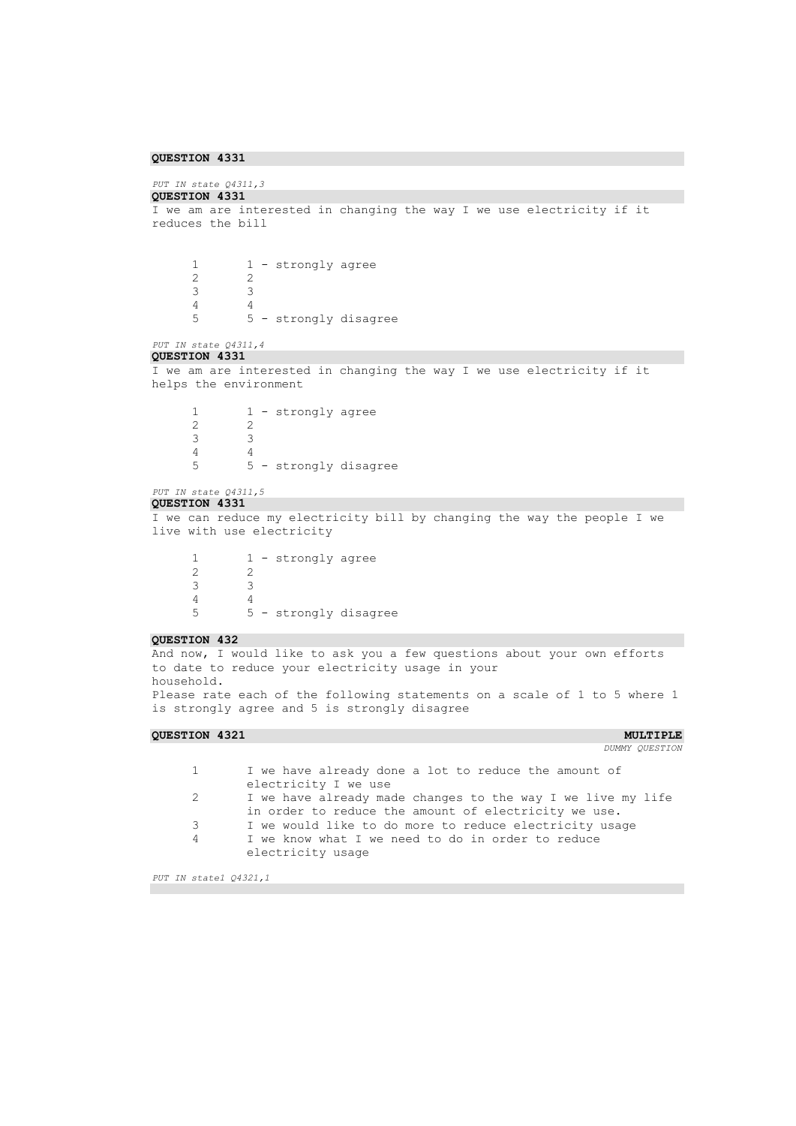# *PUT IN state Q4311,3*

```
QUESTION 4331 
I we am are interested in changing the way I we use electricity if it 
reduces the bill 
       \begin{array}{ccc} 1 & 1 - \text{strongly agree} \\ 2 & 2 \end{array}2 2
       3 3
       4 4<br>5 5
                5 5 - strongly disagree
PUT IN state Q4311,4 
QUESTION 4331 
I we am are interested in changing the way I we use electricity if it 
helps the environment 
       \begin{array}{ccc} 1 & 1 - \text{strongly agree} \\ 2 & 2 \end{array}2 2
       3 3
       4 4
       5 5 - strongly disagree
PUT IN state Q4311,5 
QUESTION 4331 
I we can reduce my electricity bill by changing the way the people I we 
live with use electricity
       1 1 - strongly agree
       \begin{array}{ccc} 2 & & 2 \\ 3 & & 3 \end{array}3 3
       \begin{array}{ccc} 4 & & 4 \\ 5 & & 5 \end{array}5 5 - strongly disagree
QUESTION 432 
And now, I would like to ask you a few questions about your own efforts 
to date to reduce your electricity usage in your
```
household.

Please rate each of the following statements on a scale of 1 to 5 where 1 is strongly agree and 5 is strongly disagree

### **QUESTION 4321 MULTIPLE**

*DUMMY QUESTION* 

```
1 I we have already done a lot to reduce the amount of 
       electricity I we use
2 I we have already made changes to the way I we live my life 
       in order to reduce the amount of electricity we use.
3 I we would like to do more to reduce electricity usage
4 I we know what I we need to do in order to reduce 
       electricity usage
```
*PUT IN state1 Q4321,1*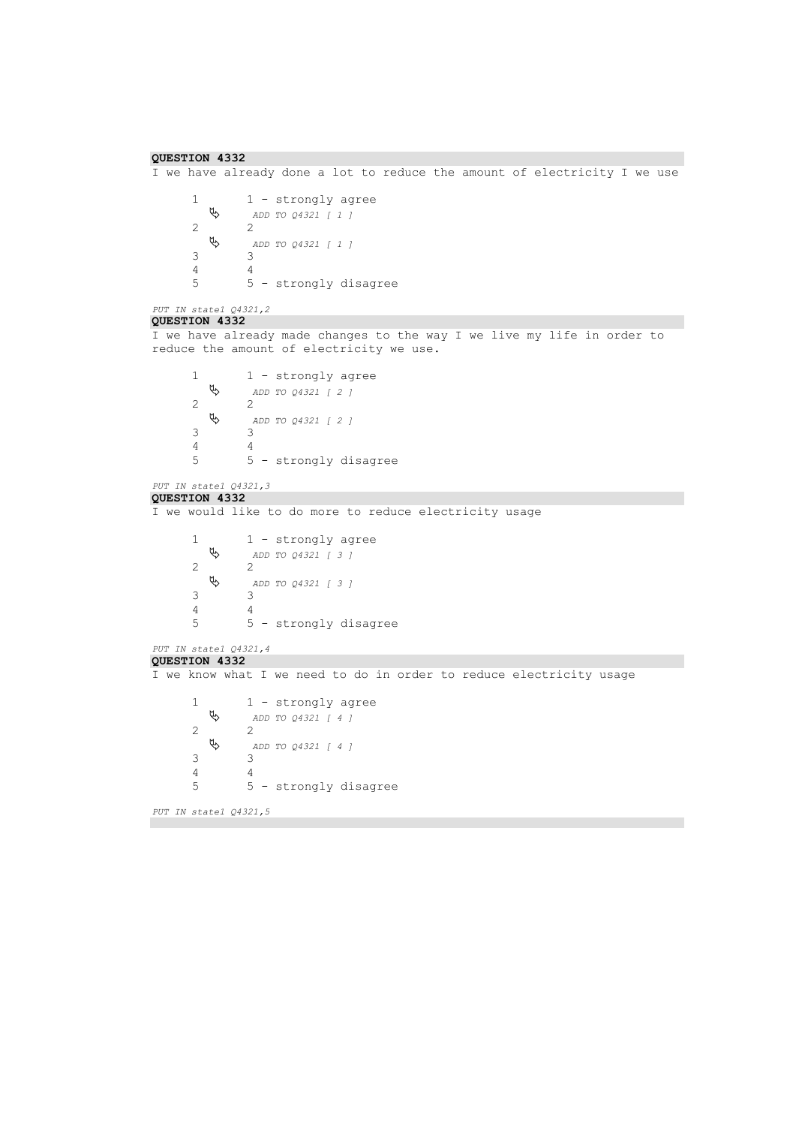```
QUESTION 4332 
I we have already done a lot to reduce the amount of electricity I we use
       1 - strongly agree
            ADD TO Q4321 [ 1 ] 
       2 \psi ADD TO Q4321 [ 1 ] 
       \begin{array}{ccc} 3 & & 3 \\ 4 & & 4 \end{array}\begin{array}{ccc} 4 & & 4 \\ 5 & & 5 \end{array}5 5 - strongly disagree
PUT IN state1 Q4321,2 
QUESTION 4332 
I we have already made changes to the way I we live my life in order to 
reduce the amount of electricity we use.
       1 - strongly agree
            ADD TO Q4321 [ 2 ] 
       2 \theta 2 ^2 ADD TO Q4321 [ 2 ] 
       \begin{array}{ccc} 3 & \hspace{1.5cm} & 3 \\ 4 & \hspace{1.5cm} & 4 \end{array}\begin{array}{ccc} 4 & & 4 \\ 5 & & 5 \end{array}5 5 - strongly disagree
PUT IN state1 Q4321,3 
QUESTION 4332 
I we would like to do more to reduce electricity usage
       1 1 - strongly agree<br>
\updownarrow \qquad ADD TO 04321 [ 3 ]
                   ADD TO Q4321 [ 3 ] 
       2 2
            ADD TO Q4321 [ 3 ] 
       3 3
       \begin{array}{ccc} 4 & & 4 \\ 5 & & 5 \end{array}5 5 - strongly disagree
PUT IN state1 Q4321,4 
QUESTION 4332 
I we know what I we need to do in order to reduce electricity usage
       1 - strongly agree
            ADD TO Q4321 [ 4 ] 
       2 2
            ADD TO Q4321 [ 4 ] 
       3 3
       \begin{array}{ccc} 4 & & 4 \\ 5 & & 5 \end{array}5 5 - strongly disagree
PUT IN state1 Q4321,5
```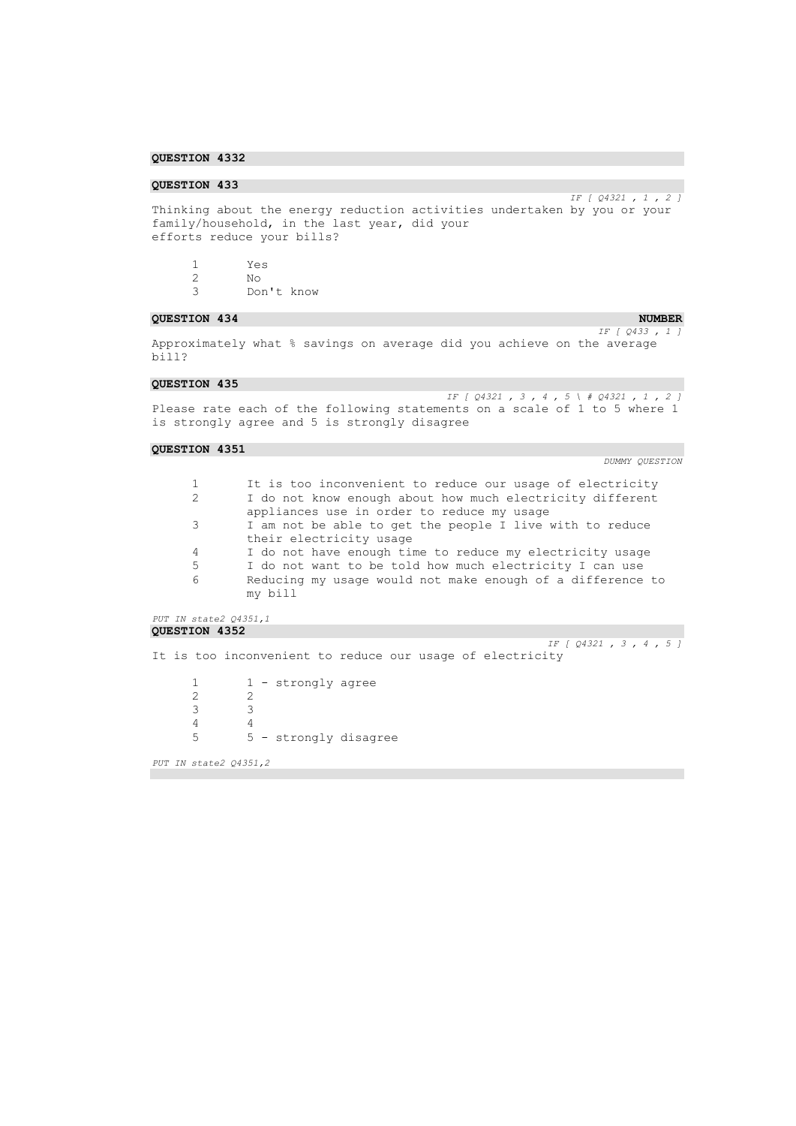## **QUESTION 433**

*IF [ Q4321 , 1 , 2 ]*  Thinking about the energy reduction activities undertaken by you or your family/household, in the last year, did your efforts reduce your bills?

1 Yes 2 No Don't know

### **QUESTION 434** NUMBER *QUESTION 434*

*IF [ Q433 , 1 ]*  Approximately what % savings on average did you achieve on the average bill?

### **QUESTION 435**

*IF [ Q4321 , 3 , 4 , 5 \ # Q4321 , 1 , 2 ]*  Please rate each of the following statements on a scale of 1 to 5 where 1 is strongly agree and 5 is strongly disagree

# **QUESTION 4351**

| $\mathbf{1}$                                                  | It is too inconvenient to reduce our usage of electricity  |  |  |  |  |
|---------------------------------------------------------------|------------------------------------------------------------|--|--|--|--|
| 2                                                             | I do not know enough about how much electricity different  |  |  |  |  |
| appliances use in order to reduce my usage                    |                                                            |  |  |  |  |
| 3<br>I am not be able to get the people I live with to reduce |                                                            |  |  |  |  |
|                                                               | their electricity usage                                    |  |  |  |  |
| 4                                                             | I do not have enough time to reduce my electricity usage   |  |  |  |  |
| 5                                                             | I do not want to be told how much electricity I can use    |  |  |  |  |
| 6                                                             | Reducing my usage would not make enough of a difference to |  |  |  |  |
|                                                               | my bill                                                    |  |  |  |  |
|                                                               |                                                            |  |  |  |  |
| PUT IN state2 Q4351,1                                         |                                                            |  |  |  |  |
| <b>QUESTION 4352</b>                                          |                                                            |  |  |  |  |
|                                                               | IF $[Q4321, 3, 4, 5]$                                      |  |  |  |  |
|                                                               | It is too inconvenient to reduce our usage of electricity  |  |  |  |  |
| 1                                                             | - strongly agree                                           |  |  |  |  |
| $\mathbf{2}$                                                  | $\mathfrak{D}$                                             |  |  |  |  |
| 3                                                             | 3                                                          |  |  |  |  |
| 4                                                             | $\overline{4}$                                             |  |  |  |  |
| 5                                                             | 5 - strongly disagree                                      |  |  |  |  |
|                                                               |                                                            |  |  |  |  |
| PUT IN state2 Q4351,2                                         |                                                            |  |  |  |  |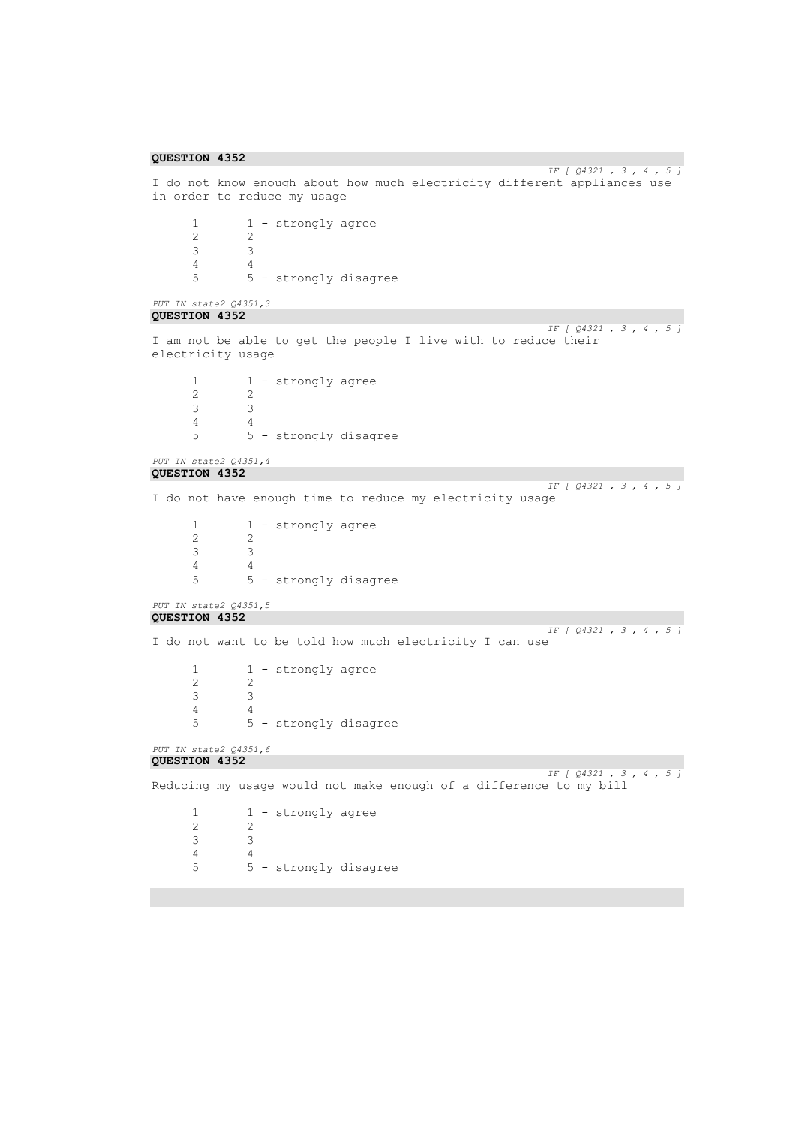```
QUESTION 4352
```

```
IF [ Q4321 , 3 , 4 , 5 ] 
I do not know enough about how much electricity different appliances use 
in order to reduce my usage
       1 1 - strongly agree<br>2 2
       2 2
       3 3
       \frac{4}{5}5 5 - strongly disagree
PUT IN state2 Q4351,3 
QUESTION 4352 
                                                                            IF [ Q4321 , 3 , 4 , 5 ] 
I am not be able to get the people I live with to reduce their 
electricity usage
       \begin{array}{ccc} 1 & 1 - \text{strongly agree} \\ 2 & 2 \end{array}2 2
       3 3
       \begin{array}{ccc} 4 & 4 \\ 5 & 5 \end{array}5 5 - strongly disagree
PUT IN state2 Q4351,4 
QUESTION 4352 
                                                                            IF [ Q4321 , 3 , 4 , 5 ] 
I do not have enough time to reduce my electricity usage
       \begin{array}{ccc} 1 & 1 - \text{strongly agree} \\ 2 & 2 \end{array}\begin{array}{ccc} 2 & & 2 \\ 3 & & 3 \end{array}3 3
       \begin{array}{ccc} 4 & & 4 \\ 5 & & 5 \end{array}5 5 - strongly disagree
PUT IN state2 Q4351,5 
QUESTION 4352 
                                                                            IF [ Q4321 , 3 , 4 , 5 ] 
I do not want to be told how much electricity I can use
       1 - strongly agree
       \begin{array}{ccc}\n2 & 2 \\
3 & 3\n\end{array}3 3
       \begin{array}{ccc}\n4 & & 4 \\
5 & & 5\n\end{array}5 5 - strongly disagree
PUT IN state2 Q4351,6 
QUESTION 4352 
IF [ Q4321 , 3 , 4 , 5 ] 
Reducing my usage would not make enough of a difference to my bill
       1 1 - strongly agree<br>2 2
                  2 2
       3 3
        4 4
       5 5 - strongly disagree
```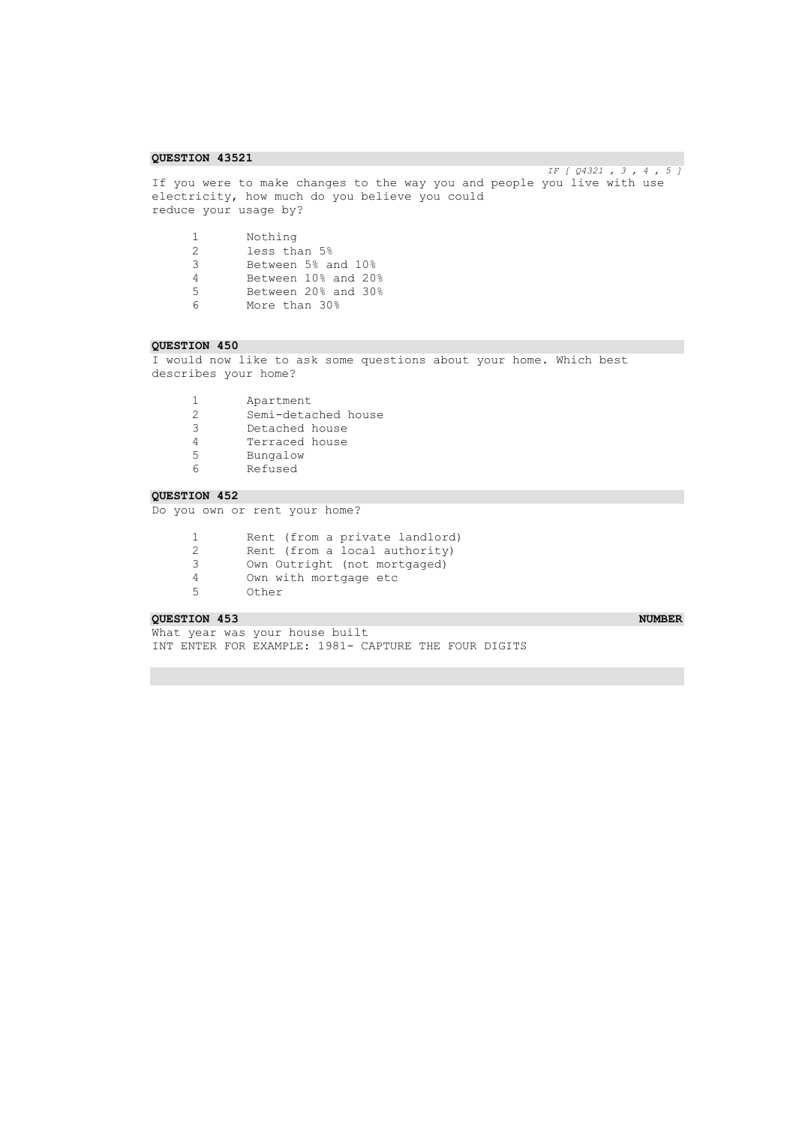*IF [ Q4321 , 3 , 4 , 5 ]*  If you were to make changes to the way you and people you live with use electricity, how much do you believe you could reduce your usage by?

| -1. | Nothing             |
|-----|---------------------|
| 2   | less than 5%        |
| 3   | Between 5% and 10%  |
| 4   | Between 10% and 20% |
| 5   | Between 20% and 30% |
| ี   | More than 30%       |

### **QUESTION 450**

I would now like to ask some questions about your home. Which best describes your home?

- 1 Apartment<br>2 Semi-deta 2 Semi-detached house
- Detached house
- <sup>4</sup> Terraced house<br>5 Bungalow
- 5 Bungalow
- 6 Refused

# **QUESTION 452**

Do you own or rent your home?

- 1 Rent (from a private landlord)<br>2 Rent (from a local authority) 2 Rent (from a local authority)<br>3 Own Outright (not mortgaged) 3 Own Outright (not mortgaged)<br>4 Own with mortgage etc 4 Own with mortgage etc
- Other

### **QUESTION 453** NUMBER **NUMBER NUMBER**

What year was your house built INT ENTER FOR EXAMPLE: 1981- CAPTURE THE FOUR DIGITS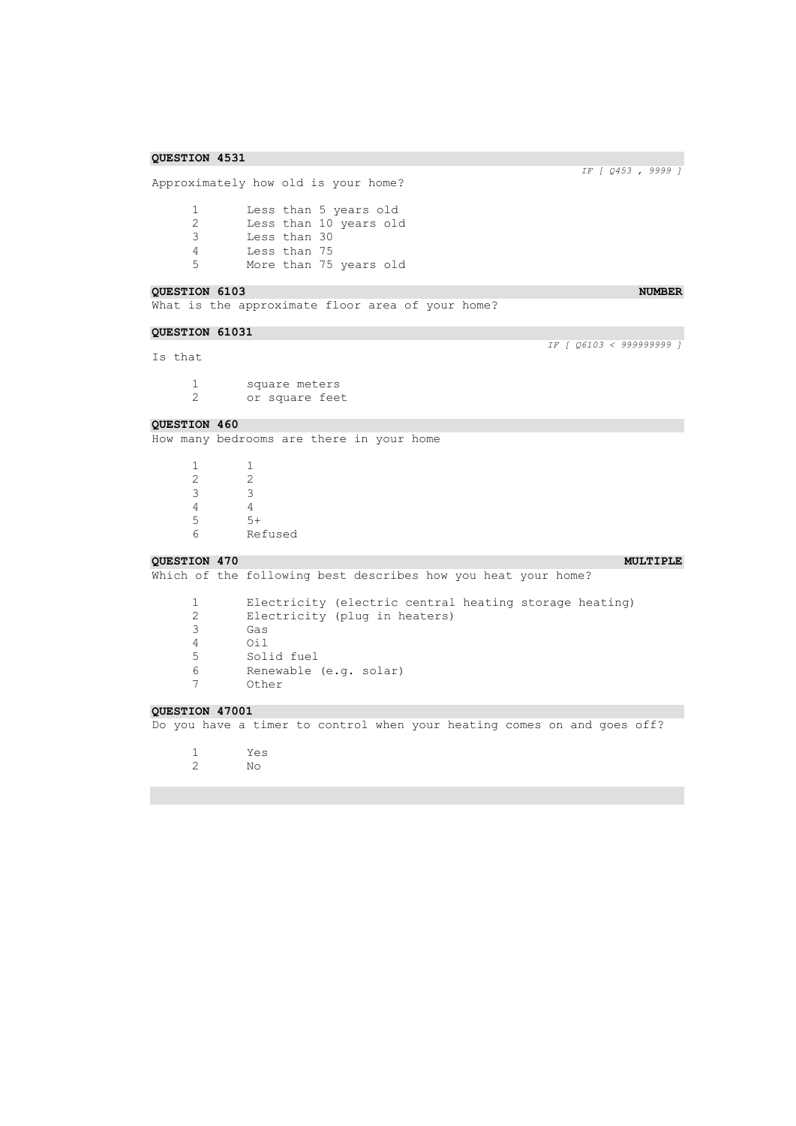Approximately how old is your home?

1 Less than 5 years old 2 Less than 10 years old 3 Less than 30 4 Less than 75<br>5 More than 75 More than 75 years old

### **QUESTION 6103** NUMBER **NUMBER**

What is the approximate floor area of your home?

### **QUESTION 61031**

Is that

1 square meters<br>2 or square fee or square feet

### **QUESTION 460**

How many bedrooms are there in your home

 $\begin{array}{ccc} 1 & \hspace{1.5cm} & 1 \\ 2 & \hspace{1.5cm} & 2 \end{array}$  $\begin{array}{ccc} 2 & & 2 \\ 3 & & 3 \end{array}$  $\begin{array}{ccc} 3 & & 3 \\ 4 & & 4 \end{array}$  $\begin{array}{cc} 4 & 4 \\ 5 & 5 \end{array}$ 5 5+<br>6 Re 6 Refused

### **QUESTION 470 MULTIPLE MULTIPLE**

Which of the following best describes how you heat your home?

|   | Electricity (electric central heating storage heating) |
|---|--------------------------------------------------------|
|   | Electricity (plug in heaters)                          |
|   | Gas                                                    |
|   | Oi 1                                                   |
| 5 | Solid fuel                                             |
|   | Renewable (e.g. solar)                                 |
|   | Other                                                  |

*IF [ Q453 , 9999 ]* 

*IF [ Q6103 < 999999999 ]* 

### **QUESTION 47001**

Do you have a timer to control when your heating comes on and goes off?

- 1 Yes
- 2 No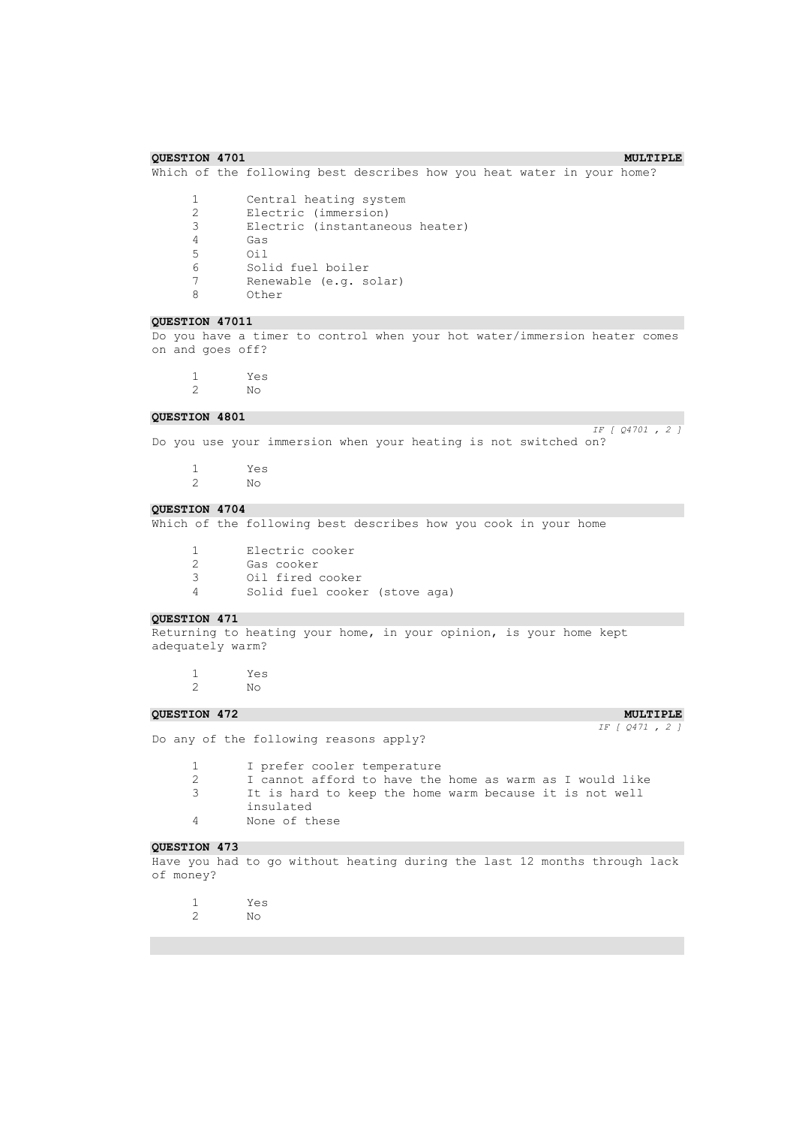# **QUESTION 4701** MULTIPLE Which of the following best describes how you heat water in your home? 1 Central heating system<br>2 Electric (immersion) 2 Electric (immersion)<br>3 Electric (instantane 3 Electric (instantaneous heater) 4 Gas 5 Oil Solid fuel boiler 7 Renewable (e.g. solar) 8 Other **QUESTION 47011**  Do you have a timer to control when your hot water/immersion heater comes on and goes off? 1 Yes 2 No **QUESTION 4801**  *IF [ Q4701 , 2 ]*  Do you use your immersion when your heating is not switched on? 1 Yes<br>2 No 2 No **QUESTION 4704**  Which of the following best describes how you cook in your home 1 Electric cooker 2 Gas cooker<br>3 Oil fired o Oil fired cooker 4 Solid fuel cooker (stove aga) **QUESTION 471**  Returning to heating your home, in your opinion, is your home kept adequately warm? 1 Yes 2 No **QUESTION 472 MULTIPLE MULTIPLE** *IF [ Q471 , 2 ]*  Do any of the following reasons apply? 1 I prefer cooler temperature 2 I cannot afford to have the home as warm as I would like 3 It is hard to keep the home warm because it is not well insulated 4 None of these **QUESTION 473**  Have you had to go without heating during the last 12 months through lack of money?

- 
- 1 Yes 2 No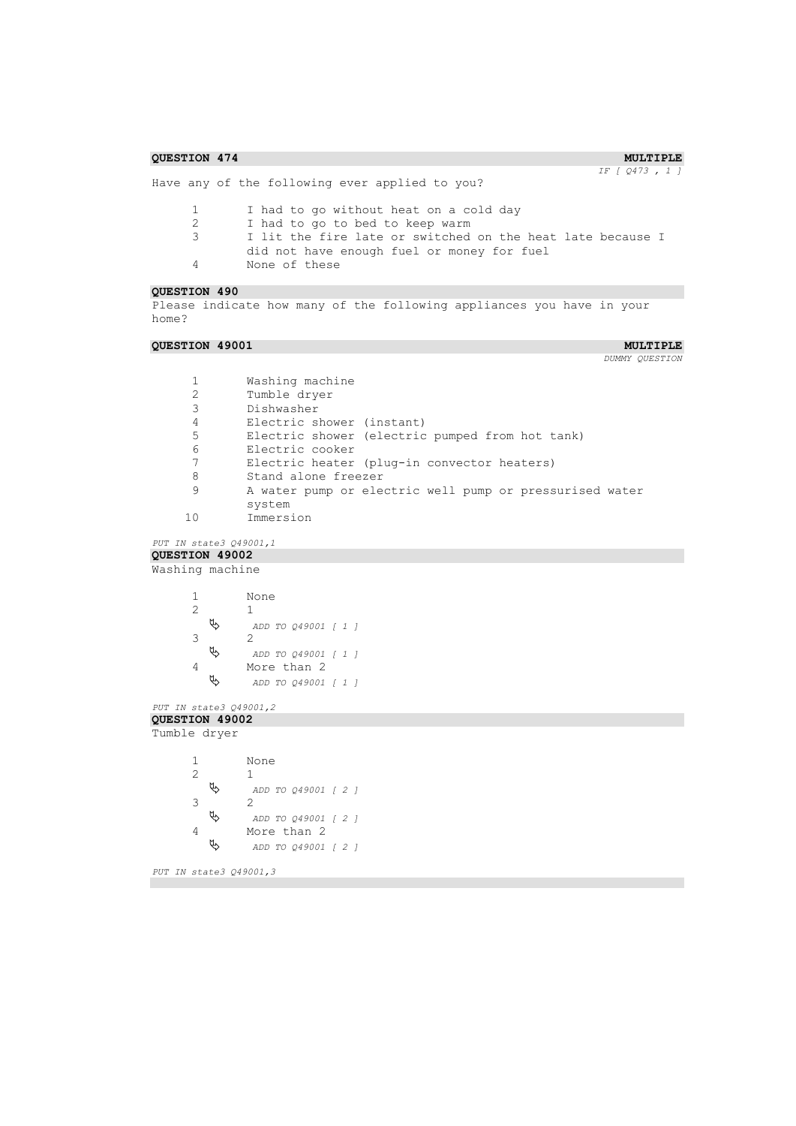```
COURSTION 474 MULTIPLE MULTIPLE
                                                                      IF [ Q473 , 1 ] 
Have any of the following ever applied to you?
      1 I had to go without heat on a cold day
      2 I had to go to bed to keep warm<br>3 I lit the fire late or switched
               I lit the fire late or switched on the heat late because I
               did not have enough fuel or money for fuel
      4 None of these
QUESTION 490 
Please indicate how many of the following appliances you have in your 
home?
QUESTION 49001 MULTIPLE MULTIPLE
                                                                       DUMMY QUESTION 
      1 Washing machine<br>2 Tumble dryer
              Tumble dryer
      3 Dishwasher
      4 Electric shower (instant)<br>5 Electric shower (electric
              Electric shower (electric pumped from hot tank)
      6 Electric cooker<br>7 Electric heater
      7 Electric heater (plug-in convector heaters)<br>8 Stand alone freezer
             Stand alone freezer
      9 A water pump or electric well pump or pressurised water 
              system
     10 Immersion
PUT IN state3 Q49001,1 
QUESTION 49002 
Washing machine
      1 None
         \begin{matrix} 1 \\ 2 \end{matrix} ADD TO Q49001 [ 1 ] 
      3 2
          ADD TO Q49001 [ 1 ] 
      4 More than 2<br>\frac{1}{2} More than 2
                ADD TO Q49001 [ 1 ] 
PUT IN state3 Q49001,2 
QUESTION 49002 
Tumble dryer
      1 None
      2 1
          ADD TO Q49001 [ 2 ] 
      \begin{matrix} 3 & 2 \\ 3 & 4 \end{matrix} ADD TO Q49001 [ 2 ] 
      4 More than 2<br>\frac{1}{2} More than 2
                ADD TO Q49001 [ 2 ] 
PUT IN state3 Q49001,3
```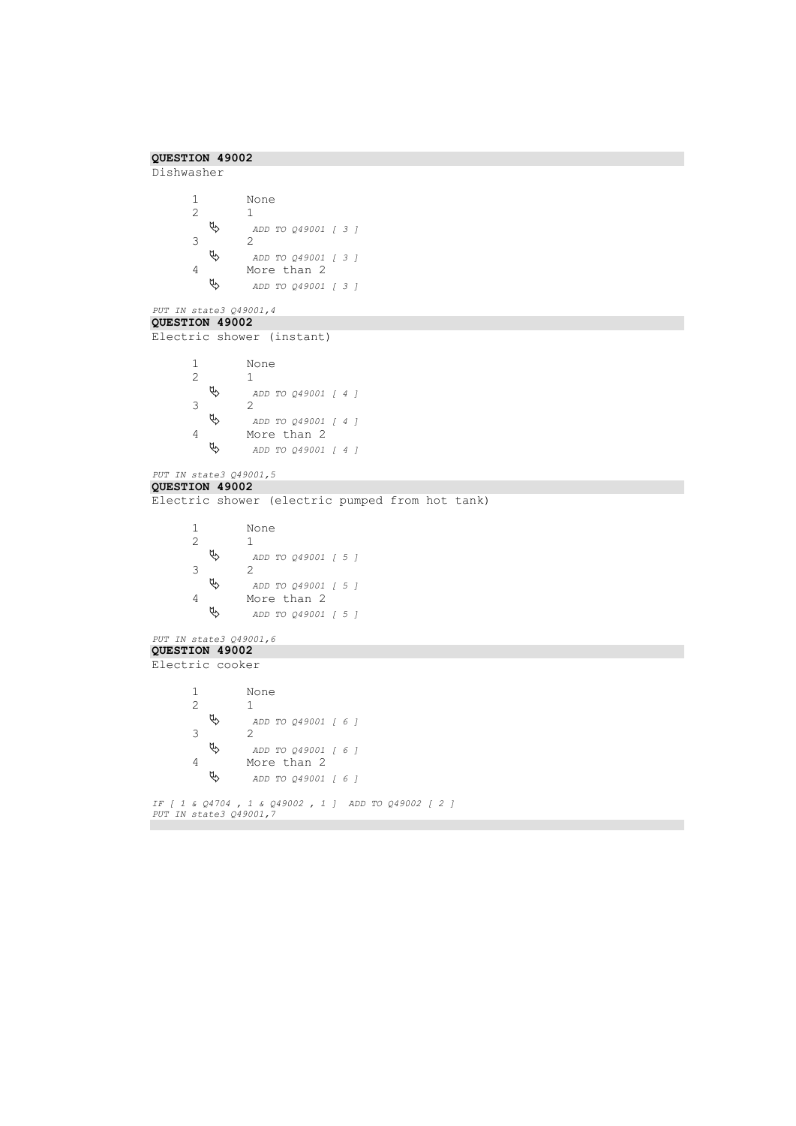```
QUESTION 49002 
Dishwasher
        1 None
            \updownarrow \downarrow ADD TO Q49001 [ 3 ] 
        3 2<br>\uparrow 2
                     ADD TO Q49001 [ 3 ] 
        4 More than 2<br>\uparrow \qquad \qquad \bullet ADD TO 049001
                     ADD TO Q49001 [ 3 ] 
PUT IN state3 Q49001,4 
QUESTION 49002 
Electric shower (instant)
        1 None
            \begin{matrix} 1 \\ 2 \end{matrix} ADD TO Q49001 [ 4 ] 
        3 \theta 2 \theta ADD TO Q49001 [ 4 ] 
        4 More than 2<br>\uparrow More than 2
                     ADD TO Q49001 [ 4 ] 
PUT IN state3 Q49001,5 
QUESTION 49002 
Electric shower (electric pumped from hot tank)
        1 None
            \begin{matrix} 1 \\ \frac{1}{2} \end{matrix} ADD TO Q49001 [ 5 ] 
        3 2<br>\uparrow 2
                     ADD TO Q49001 [ 5 ] 
        4 More than 2<br>\uparrow More than 2
                     ADD TO Q49001 [ 5 ] 
PUT IN state3 Q49001,6 
QUESTION 49002 
Electric cooker
        1 None
                   2 1
             ADD TO Q49001 [ 6 ] 
        3 \theta 2 \beta ADD TO Q49001 [ 6 ] 
        4 More than 2
             ADD TO Q49001 [ 6 ] 
IF [ 1 & Q4704 , 1 & Q49002 , 1 ] ADD TO Q49002 [ 2 ] 
PUT IN state3 Q49001,7
```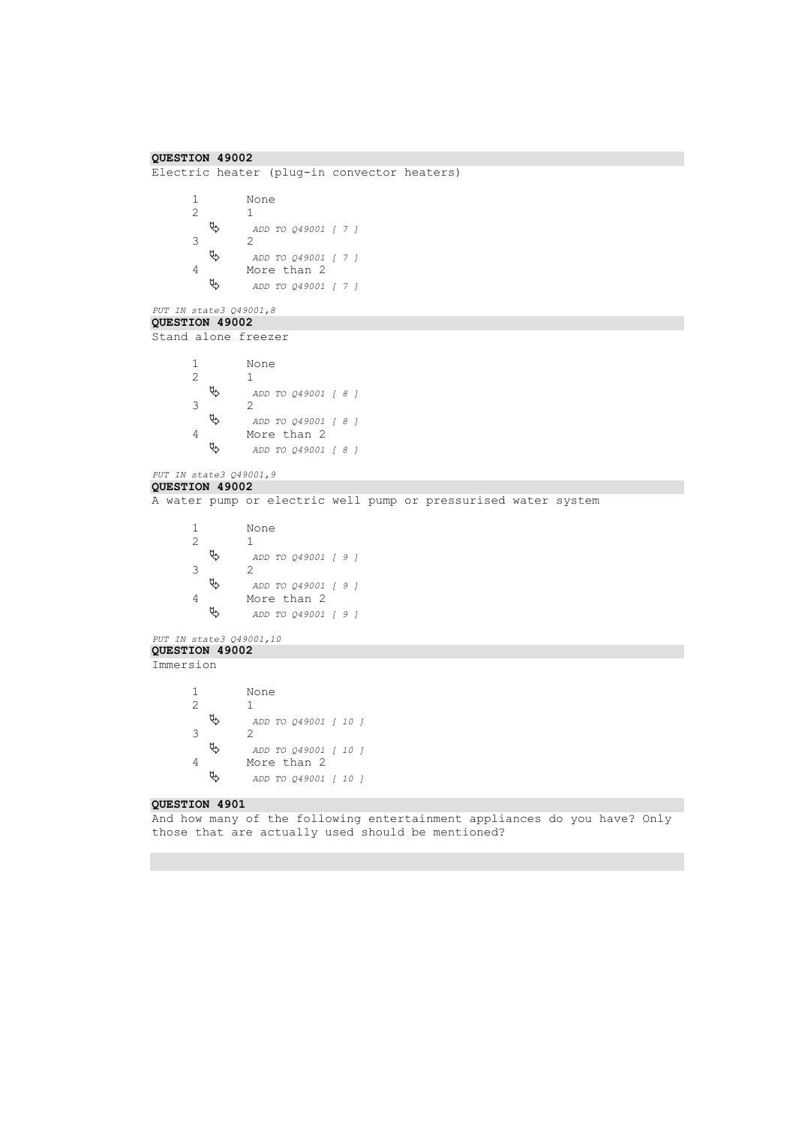```
QUESTION 49002 
Electric heater (plug-in convector heaters)
       1 None
          \begin{matrix} 1 \\ \psi & \end{matrix} ADD TO Q49001 [ 7 ] 
       3 2<br>\uparrow 2
                   ADD TO Q49001 [ 7 ] 
       4 More than 2<br>\uparrow More than 2
                   ADD TO Q49001 [ 7 ] 
PUT IN state3 Q49001,8 
QUESTION 49002 
Stand alone freezer
       1 None<br>2 1
          \begin{matrix} 1 \\ 2 \end{matrix} ADD TO Q49001 [ 8 ] 
       3 \theta 2 \theta ADD TO Q49001 [ 8 ] 
       4 More than 2<br>\uparrow More than 2
                   ADD TO Q49001 [ 8 ] 
PUT IN state3 Q49001,9 
QUESTION 49002 
A water pump or electric well pump or pressurised water system
       1 None
                 2 1
           ADD TO Q49001 [ 9 ] 
       3 2<br>\uparrow 2
                   ADD TO Q49001 [ 9 ] 
       4 More than 2<br>\frac{d\phi}{d\phi} ADD TO 049001
                   ADD TO Q49001 [ 9 ] 
PUT IN state3 Q49001,10 
QUESTION 49002 
Immersion
       1 None
       2 1
           ADD TO Q49001 [ 10 ] 
       3 \theta 2 \theta ADD TO Q49001 [ 10 ] 
       4 More than 2
           ADD TO Q49001 [ 10 ] 
QUESTION 4901 
And how many of the following entertainment appliances do you have? Only 
those that are actually used should be mentioned?
```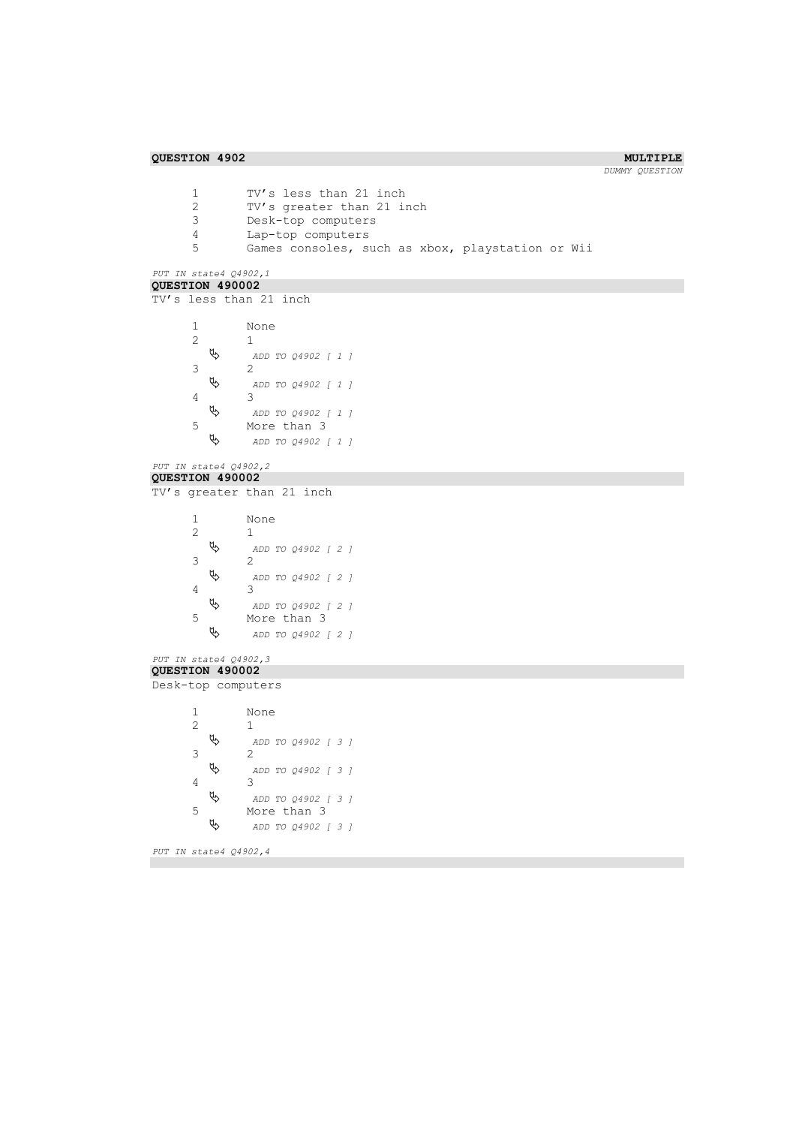```
1 TV's less than 21 inch<br>2 TV's greater than 21 i
        2 TV's greater than 21 inch<br>3 Desk-top computers
        3 Desk-top computers
        4 Lap-top computers
                  Games consoles, such as xbox, playstation or Wii
PUT IN state4 Q4902,1 
QUESTION 490002 
TV's less than 21 inch
        1 None
        \begin{matrix} 2 & 1 \\ 2 & 1 \\ 2 & 1 \end{matrix} ADD TO Q4902 [ 1 ] 
        3 2
            ADD TO Q4902 [ 1 ] 
        4 3 \frac{3}{4} ADD TO Q4902 [ 1 ] 
        5 More than 3<br>\& ADD TO 04902
                     ADD TO Q4902 [ 1 ] 
PUT IN state4 Q4902,2 
QUESTION 490002 
TV's greater than 21 inch
        1 None
                   2 1
            ADD TO Q4902 [ 2 ] 
        \begin{array}{ccccc}\n3 & & & 2 \\
& \bigtriangledown & & & \\
& \bigtriangledown & & & \bigtriangleup\n\end{array} ADD TO Q4902 [ 2 ] 
        4 3
            ADD TO Q4902 [ 2 ] 
        5 More than \frac{3}{2} More than 3
                    ADD TO Q4902 [ 2 ] 
PUT IN state4 Q4902,3 
QUESTION 490002 
Desk-top computers
        1 None
           \begin{matrix} 1 \\ 2 \end{matrix} ADD TO Q4902 [ 3 ] 
        \begin{matrix} 3 & 2 \\ 2 & 4 \end{matrix} ADD TO Q4902 [ 3 ] 
        4 3
            ADD TO Q4902 [ 3 ] 
        5 More than 3<br>\frac{a}{2} ADD TO 04902
                     ADD TO Q4902 [ 3 ] 
PUT IN state4 Q4902,4
```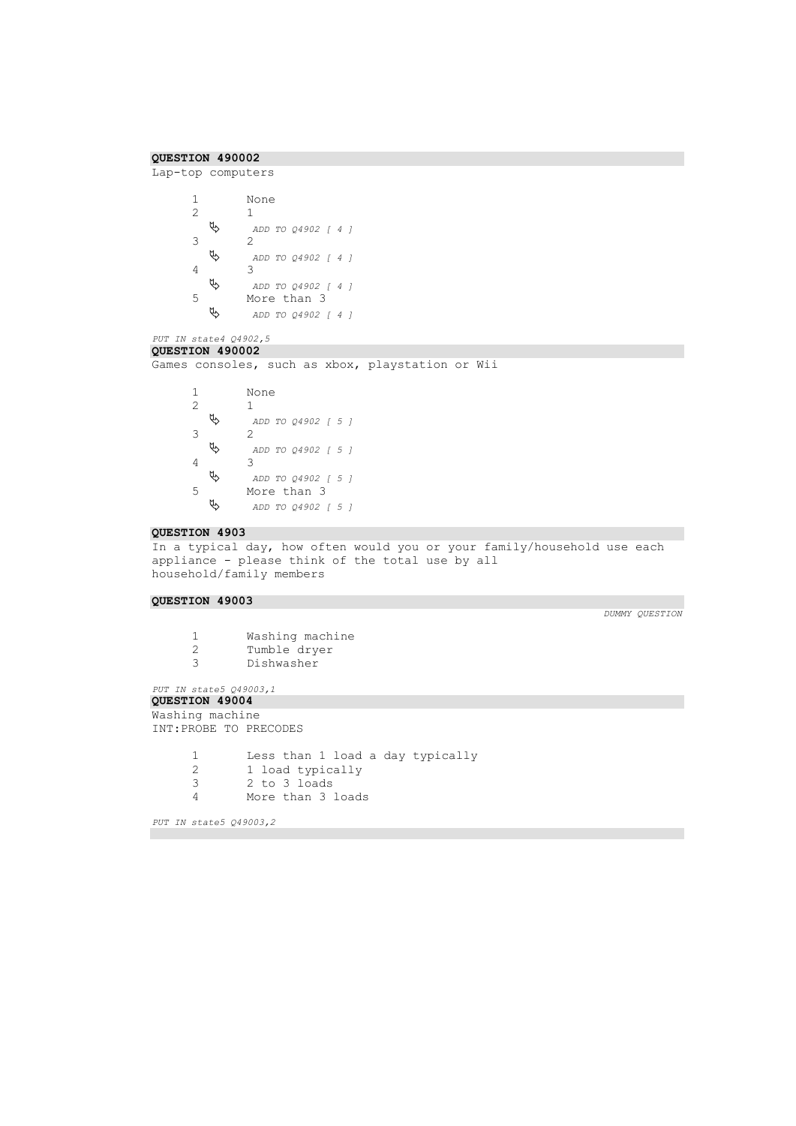```
QUESTION 490002
```
Lap-top computers

```
1 None
    \begin{matrix} 1 \\ \psi & \end{matrix} ADD TO Q4902 [ 4 ] 
3 2<br>\uparrow 2
              ADD TO Q4902 [ 4 ] 
4 \theta 3 \theta A ADD TO Q4902 [ 4 ] 
5 More than \frac{3}{2} More than 3
               ADD TO Q4902 [ 4 ]
```
### *PUT IN state4 Q4902,5*  **QUESTION 490002**

Games consoles, such as xbox, playstation or Wii

```
1 None
    \begin{matrix} 1 \\ \psi & \psi \end{matrix} ADD TO Q4902 [ 5 ] 
3 2<br>\uparrow 2
               ADD TO Q4902 [ 5 ] 
4 3 \theta 4 \theta ADD TO Q4902 [ 5 ] 
5 More than 3<br>\frac{1}{2} ADD TO 04902
               ADD TO Q4902 [ 5 ]
```
### **QUESTION 4903**

In a typical day, how often would you or your family/household use each appliance - please think of the total use by all household/family members

### **QUESTION 49003**

- 1 Washing machine<br>2 Tumble dryer Tumble dryer 3 Dishwasher
- 

```
PUT IN state5 Q49003,1
```

```
QUESTION 49004
```

```
Washing machine
INT:PROBE TO PRECODES
```

```
1 Less than 1 load a day typically<br>2 1 load typically
        2 1 load typically
3 2 to 3 loads
        More than 3 loads
```

```
PUT IN state5 Q49003,2
```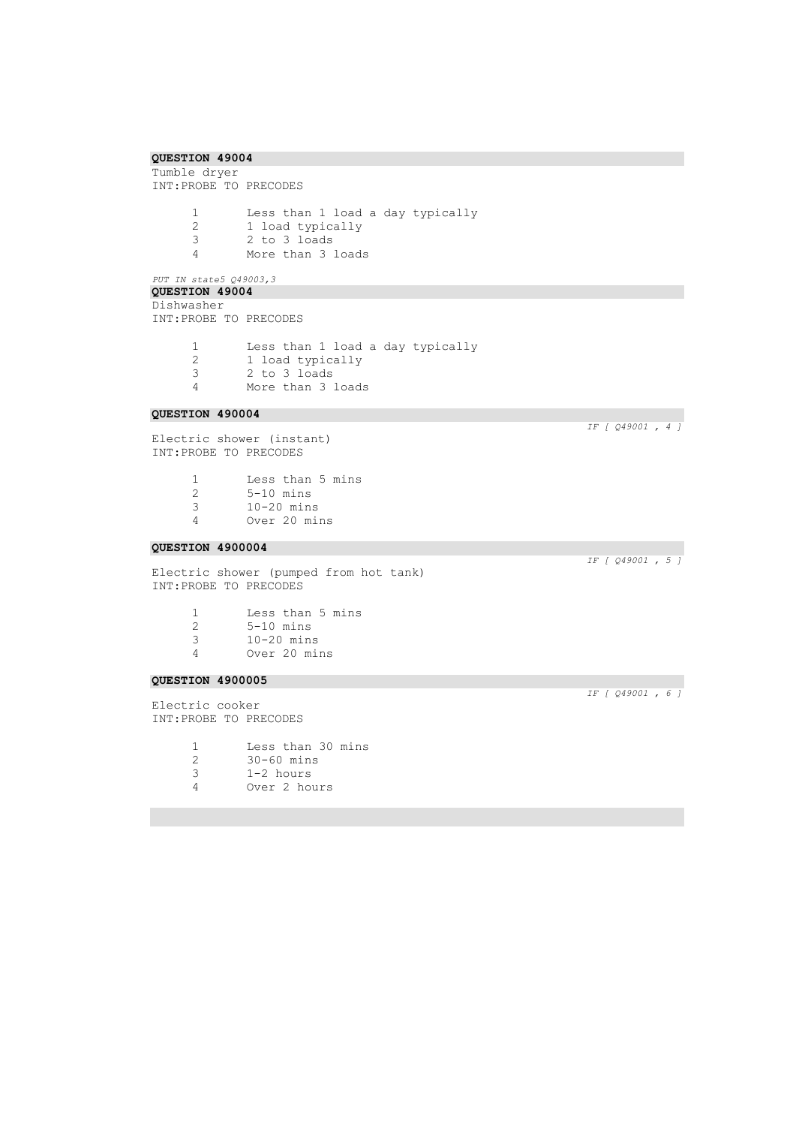Tumble dryer INT:PROBE TO PRECODES

> 1 Less than 1 load a day typically<br>2 1 load typically 2 1 load typically<br>3 2 to 3 loads 3 2 to 3 loads More than 3 loads

# *PUT IN state5 Q49003,3*  **QUESTION 49004**

Dishwasher INT:PROBE TO PRECODES

> 1 Less than 1 load a day typically<br>2 1 load typically 2 1 load typically<br>3 2 to 3 loads 3 2 to 3 loads<br>4 More than 3 1 More than 3 loads

### **QUESTION 490004**

Electric shower (instant) INT:PROBE TO PRECODES

|   | Less than 5 mins |  |
|---|------------------|--|
| 2 | $5-10$ mins      |  |
| 3 | $10-20$ mins     |  |
|   |                  |  |

4 Over 20 mins

### **QUESTION 4900004**

Electric shower (pumped from hot tank) INT:PROBE TO PRECODES

|   | Less than 5 mins                                                                                                                                                                                                                                                                     |  |
|---|--------------------------------------------------------------------------------------------------------------------------------------------------------------------------------------------------------------------------------------------------------------------------------------|--|
| 2 | $5-10$ mins                                                                                                                                                                                                                                                                          |  |
|   | $\sim$ 00 $\sim$ 00 $\sim$ 00 $\sim$ 00 $\sim$ 00 $\sim$ 00 $\sim$ 00 $\sim$ 00 $\sim$ 00 $\sim$ 00 $\sim$ 00 $\sim$ 00 $\sim$ 00 $\sim$ 00 $\sim$ 00 $\sim$ 00 $\sim$ 00 $\sim$ 00 $\sim$ 00 $\sim$ 00 $\sim$ 00 $\sim$ 00 $\sim$ 00 $\sim$ 00 $\sim$ 00 $\sim$ 00 $\sim$ 00 $\sim$ |  |

- 3 10-20 mins
- Over 20 mins

### **QUESTION 4900005**

Electric cooker INT:PROBE TO PRECODES

|               | Less than 30 mins |
|---------------|-------------------|
| $\mathcal{P}$ | $30-60$ mins      |
| २             | $1-2$ hours       |
|               | Over 2 hours      |

*IF [ Q49001 , 4 ]* 

*IF [ Q49001 , 5 ]* 

*IF [ Q49001 , 6 ]*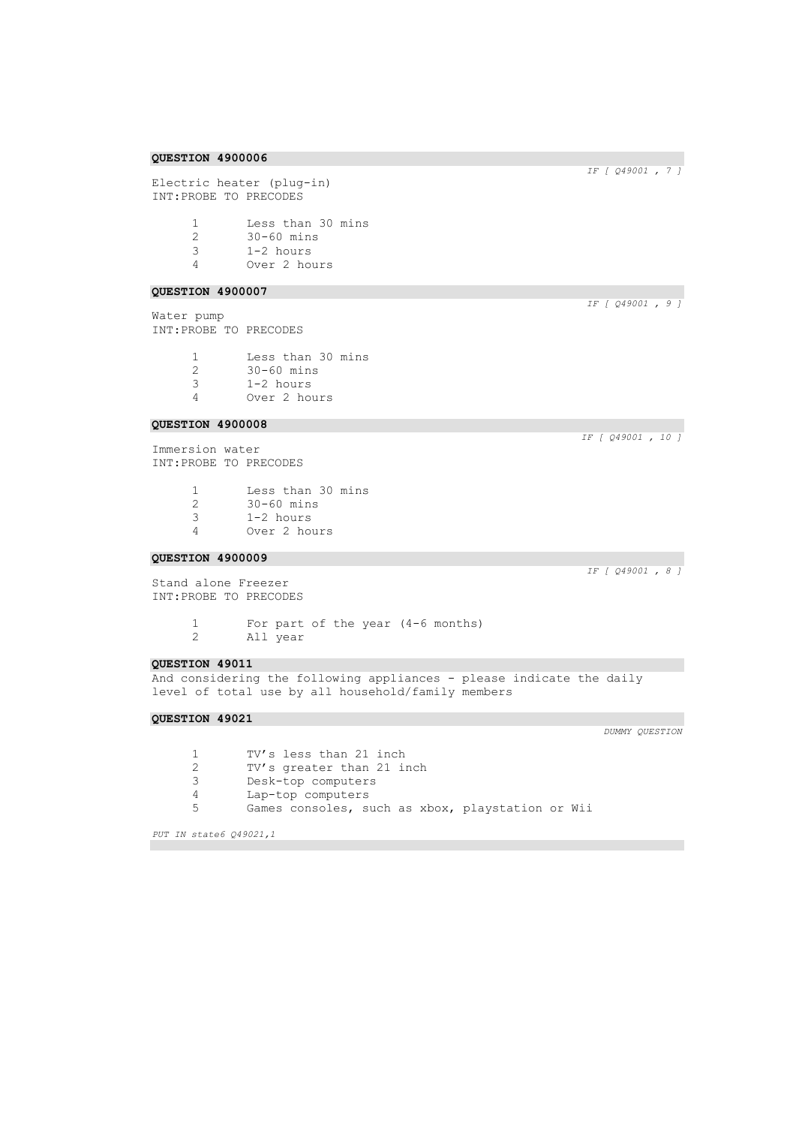Electric heater (plug-in) INT:PROBE TO PRECODES

| -1            | Less than 30 mins |
|---------------|-------------------|
| $\mathcal{D}$ | $30-60$ mins      |
| २             | $1-2$ hours       |
|               | Over 2 hours      |

### **QUESTION 4900007**

Water pump INT:PROBE TO PRECODES

> Less than 30 mins 30-60 mins 1-2 hours Over 2 hours

### **QUESTION 4900008**

Immersion water INT:PROBE TO PRECODES

| Less than 30 mins |
|-------------------|
|-------------------|

- 2 30-60 mins<br>3 1-2 hours
- 3 1-2 hours
- 4 Over 2 hours

### **QUESTION 4900009**

Stand alone Freezer INT:PROBE TO PRECODES

> 1 For part of the year (4-6 months)<br>2 All year All year

### **QUESTION 49011**

And considering the following appliances - please indicate the daily level of total use by all household/family members

### **QUESTION 49021**

1 TV's less than 21 inch<br>2 TV's greater than 21 i 2 TV's greater than 21 inch<br>3 Desk-top computers Desk-top computers 4 Lap-top computers 5 Games consoles, such as xbox, playstation or Wii

*PUT IN state6 Q49021,1* 

*IF [ Q49001 , 10 ]* 

*IF [ Q49001 , 8 ]* 

*DUMMY QUESTION* 

*IF [ Q49001 , 7 ]* 

*IF [ Q49001 , 9 ]* 

**QUESTION 4900006**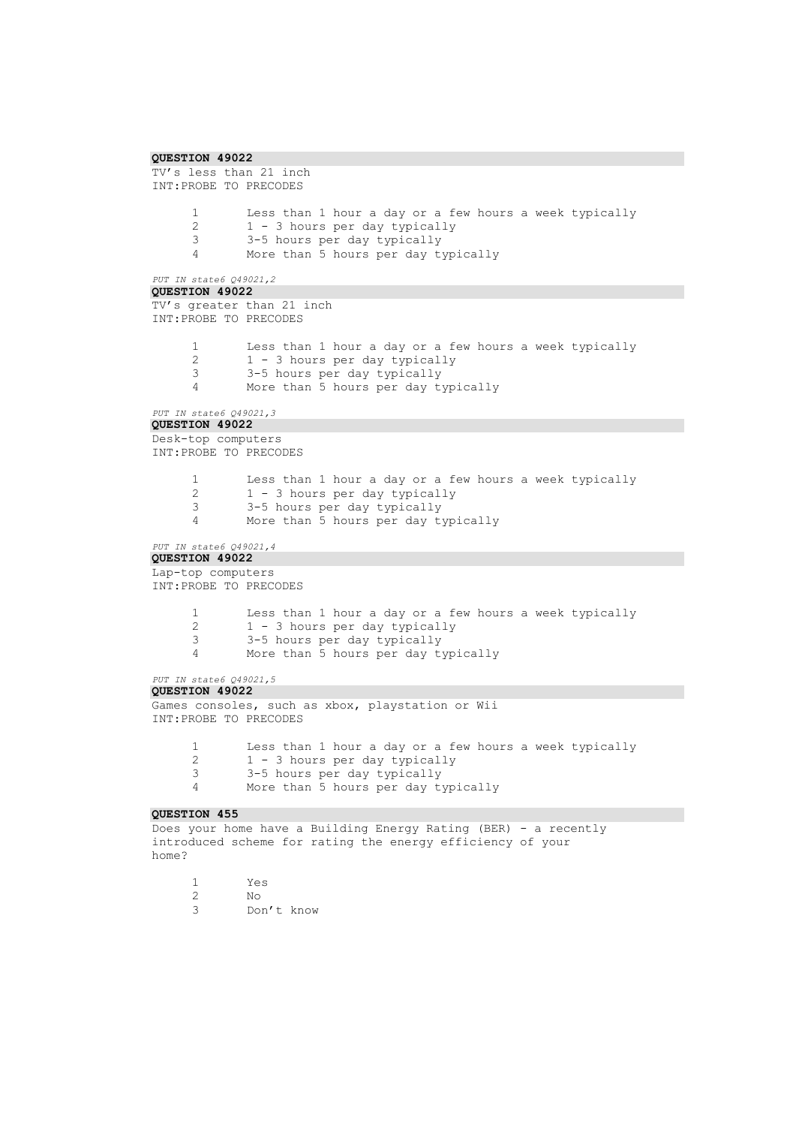```
QUESTION 49022 
TV's less than 21 inch
INT:PROBE TO PRECODES
      1 Less than 1 hour a day or a few hours a week typically<br>2 1 - 3 hours per day typically
      2 1 - 3 hours per day typically<br>3 3-5 hours per day typically
               3 3-5 hours per day typically
      4 More than 5 hours per day typically
PUT IN state6 Q49021,2 
QUESTION 49022 
TV's greater than 21 inch
INT:PROBE TO PRECODES
      1 Less than 1 hour a day or a few hours a week typically<br>2 1 - 3 hours per day typically
               2 1 - 3 hours per day typically
      3 3-5 hours per day typically
              More than 5 hours per day typically
PUT IN state6 Q49021,3 
QUESTION 49022 
Desk-top computers
INT:PROBE TO PRECODES
      1 Less than 1 hour a day or a few hours a week typically
      2 1 - 3 hours per day typically<br>3 3-5 hours per day typically
               3 3-5 hours per day typically
      4 More than 5 hours per day typically
PUT IN state6 Q49021,4 
QUESTION 49022 
Lap-top computers
INT:PROBE TO PRECODES
      1 Less than 1 hour a day or a few hours a week typically
      2 1 - 3 hours per day typically<br>3 - 3-5 hours per day typically
               3 3-5 hours per day typically
      4 More than 5 hours per day typically
PUT IN state6 Q49021,5 
QUESTION 49022 
Games consoles, such as xbox, playstation or Wii
INT:PROBE TO PRECODES
      1 Less than 1 hour a day or a few hours a week typically
      2 1 - 3 hours per day typically<br>3 3-5 hours per day typically
               3 3-5 hours per day typically
      4 More than 5 hours per day typically
QUESTION 455 
Does your home have a Building Energy Rating (BER) - a recently
introduced scheme for rating the energy efficiency of your
home?
```

```
1 Yes
2 No
     Don't know
```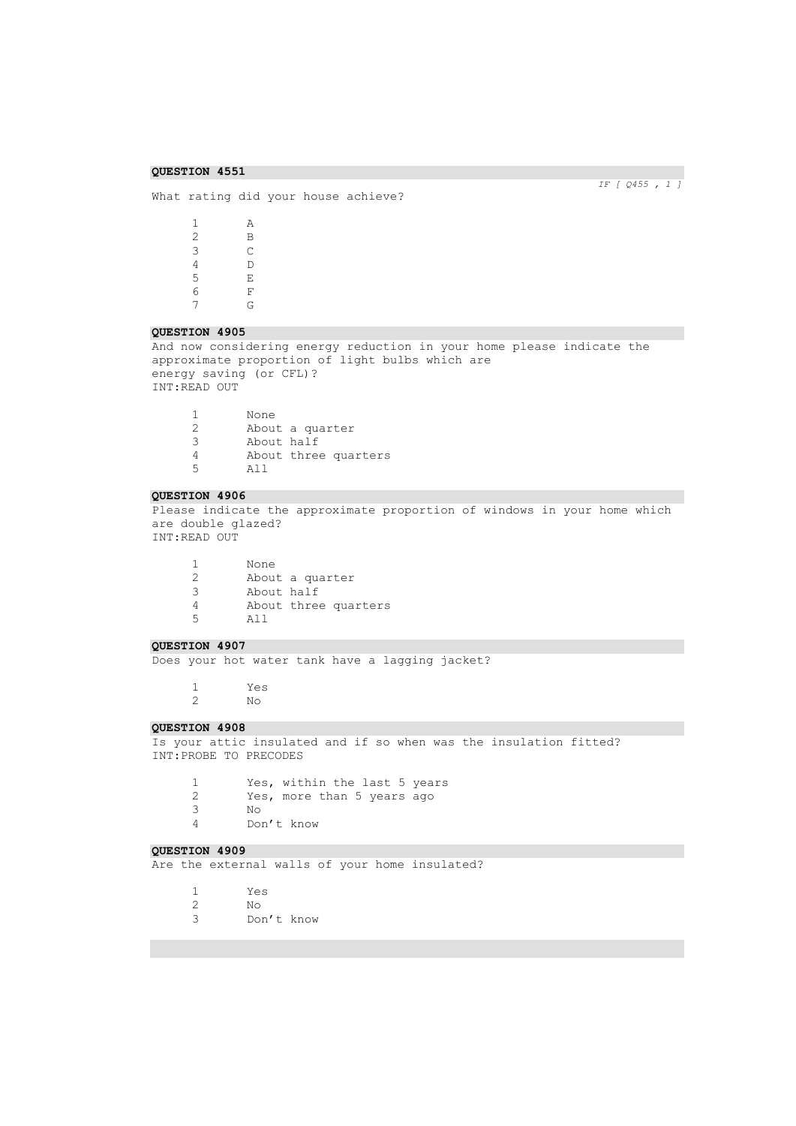What rating did your house achieve?

 $\begin{array}{ccc} 1 & \quad & \mathbf{A} \\ 2 & \quad & \mathbf{B} \end{array}$  $\begin{array}{ccc} 2 & \qquad & \mathbf{B} \\ 3 & \qquad & \mathbf{C} \end{array}$  $\begin{array}{ccc} 3 & \hspace{1.5cm} & \hspace{1.5cm} \text{C} \\ 4 & \hspace{1.5cm} & \hspace{1.5cm} \text{D} \end{array}$  $\begin{array}{ccc} 4 & \hspace{1.5cm} & \hspace{1.5cm} \mathbb{D} \\ 5 & \hspace{1.5cm} & \hspace{1.5cm} \mathbb{E} \end{array}$  $\,$  E  $\begin{array}{ccc} 6 & & \mathbf{F} \\ 7 & & \mathbf{G} \end{array}$  $\overline{G}$ 

### **QUESTION 4905**

And now considering energy reduction in your home please indicate the approximate proportion of light bulbs which are energy saving (or CFL)? INT:READ OUT

|   | None       |                      |
|---|------------|----------------------|
| 2 |            | About a quarter      |
| 3 | About half |                      |
|   |            | About three quarters |
| 5 | ווב        |                      |

### **QUESTION 4906**

Please indicate the approximate proportion of windows in your home which are double glazed? INT:READ OUT

|               | None       |                      |
|---------------|------------|----------------------|
| $\mathcal{L}$ |            | About a quarter      |
| 3             | About half |                      |
|               |            | About three quarters |
| 5             | ווב        |                      |

### **QUESTION 4907**

Does your hot water tank have a lagging jacket?

1 Yes

2 No

## **QUESTION 4908**

Is your attic insulated and if so when was the insulation fitted? INT:PROBE TO PRECODES

1 Yes, within the last 5 years<br>2 Yes, more than 5 years ago Yes, more than 5 years ago 3 No Don't know

### **QUESTION 4909**

Are the external walls of your home insulated?

| Yes |
|-----|
| N∩  |

- 2 No
- Don't know

*IF [ Q455 , 1 ]*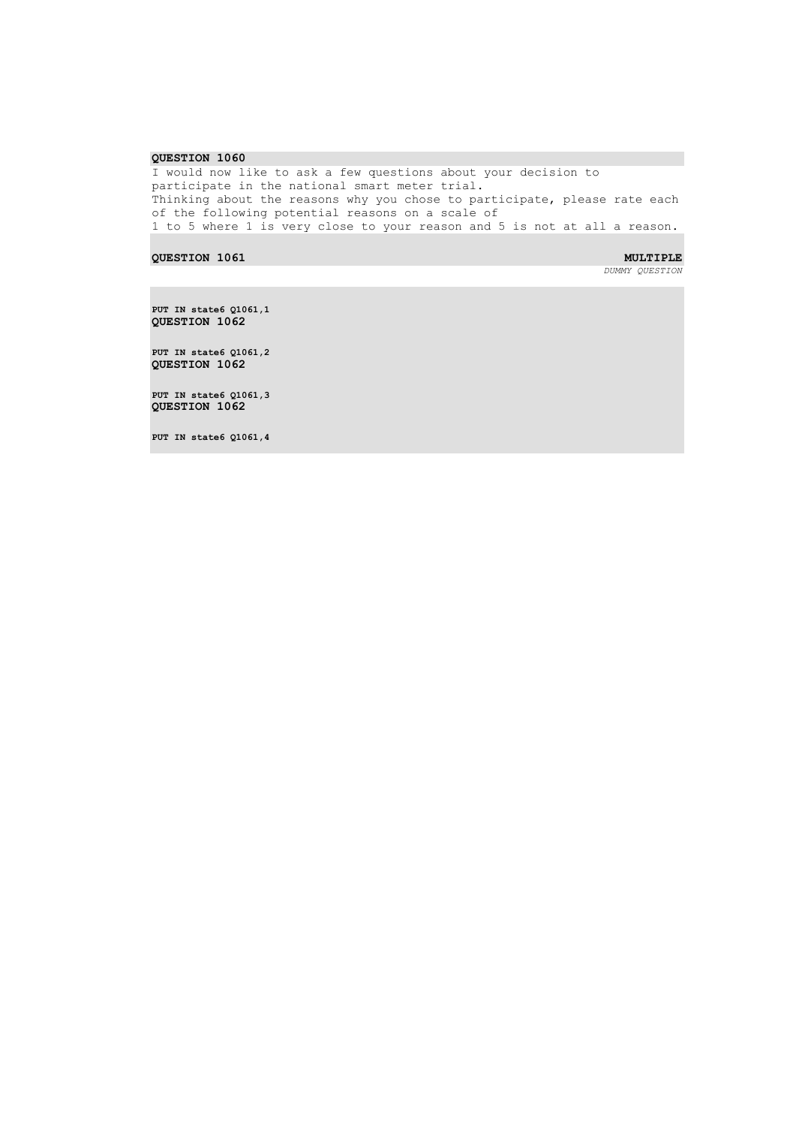I would now like to ask a few questions about your decision to participate in the national smart meter trial. Thinking about the reasons why you chose to participate, please rate each of the following potential reasons on a scale of 1 to 5 where 1 is very close to your reason and 5 is not at all a reason.

**QUESTION 1061** MULTIPLE **MULTIPLE** 

*DUMMY QUESTION* 

**PUT IN state6 Q1061,1 QUESTION 1062** 

**PUT IN state6 Q1061,2 QUESTION 1062** 

**PUT IN state6 Q1061,3 QUESTION 1062** 

**PUT IN state6 Q1061,4**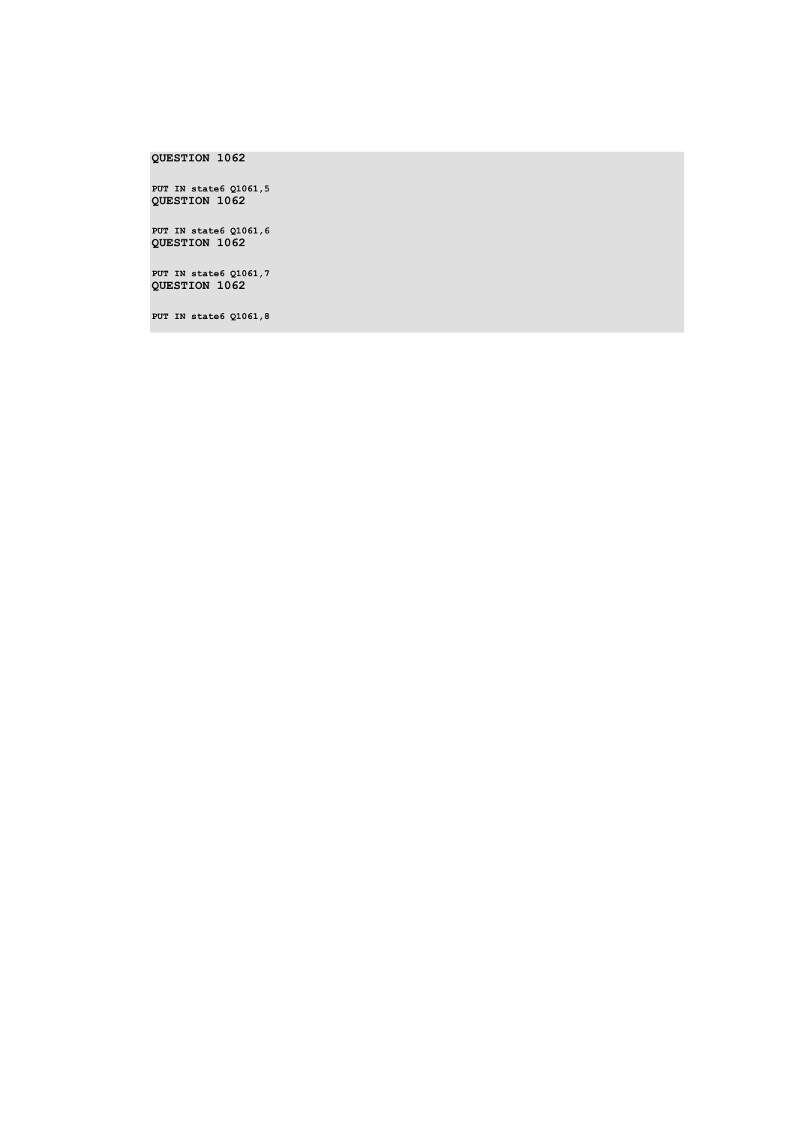**PUT IN state6 Q1061,5 QUESTION 1062** 

**PUT IN state6 Q1061,6 QUESTION 1062** 

**PUT IN state6 Q1061,7 QUESTION 1062** 

**PUT IN state6 Q1061,8**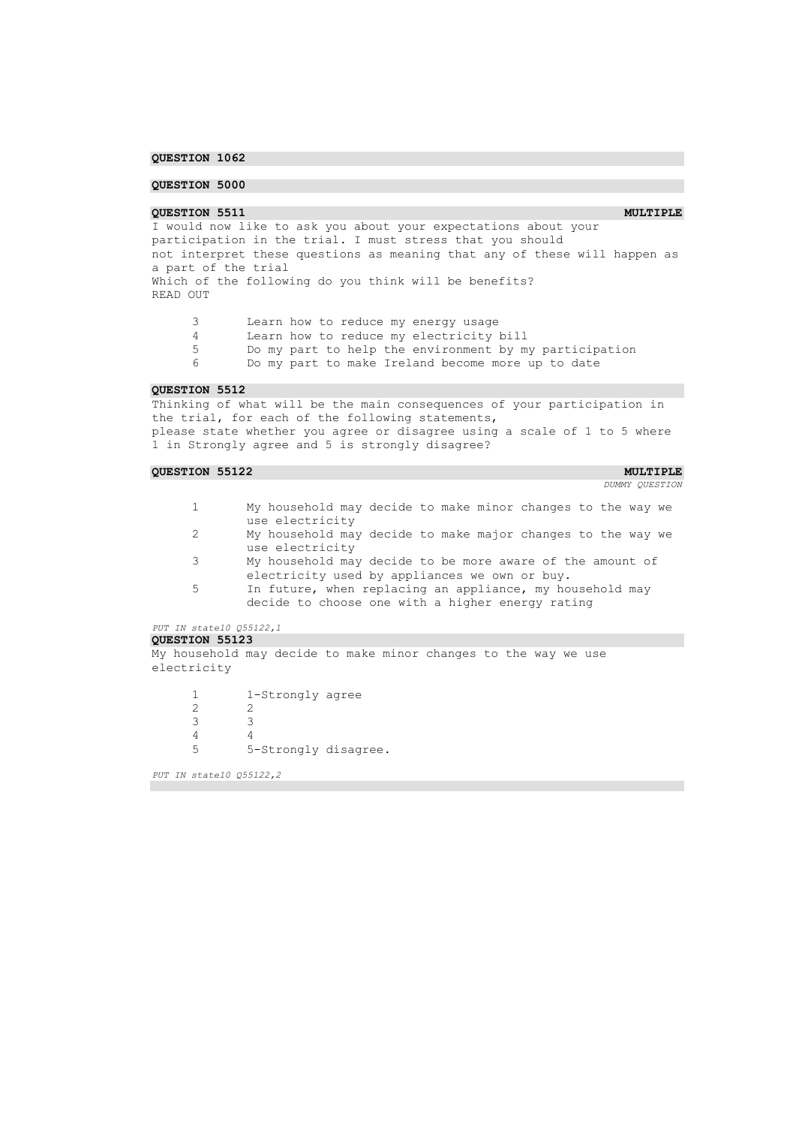### **QUESTION 5000**

**QUESTION 5511 MULTIPLE MULTIPLE** I would now like to ask you about your expectations about your participation in the trial. I must stress that you should not interpret these questions as meaning that any of these will happen as a part of the trial Which of the following do you think will be benefits? READ OUT

3 Learn how to reduce my energy usage

4 Learn how to reduce my electricity bill<br>5 Do my part to help the environment by m

Do my part to help the environment by my participation

6 Do my part to make Ireland become more up to date

### **QUESTION 5512**

Thinking of what will be the main consequences of your participation in the trial, for each of the following statements, please state whether you agree or disagree using a scale of 1 to 5 where 1 in Strongly agree and 5 is strongly disagree?

### **QUESTION 55122 MULTIPLE MULTIPLE**

*DUMMY QUESTION* 

- 1 My household may decide to make minor changes to the way we use electricity
- 2 My household may decide to make major changes to the way we use electricity
- 3 My household may decide to be more aware of the amount of electricity used by appliances we own or buy.
- 5 In future, when replacing an appliance, my household may decide to choose one with a higher energy rating

### *PUT IN state10 Q55122,1*  **QUESTION 55123**

My household may decide to make minor changes to the way we use electricity

1 1-Strongly agree 2 2 3 3 4 4 5 5-Strongly disagree.

*PUT IN state10 Q55122,2*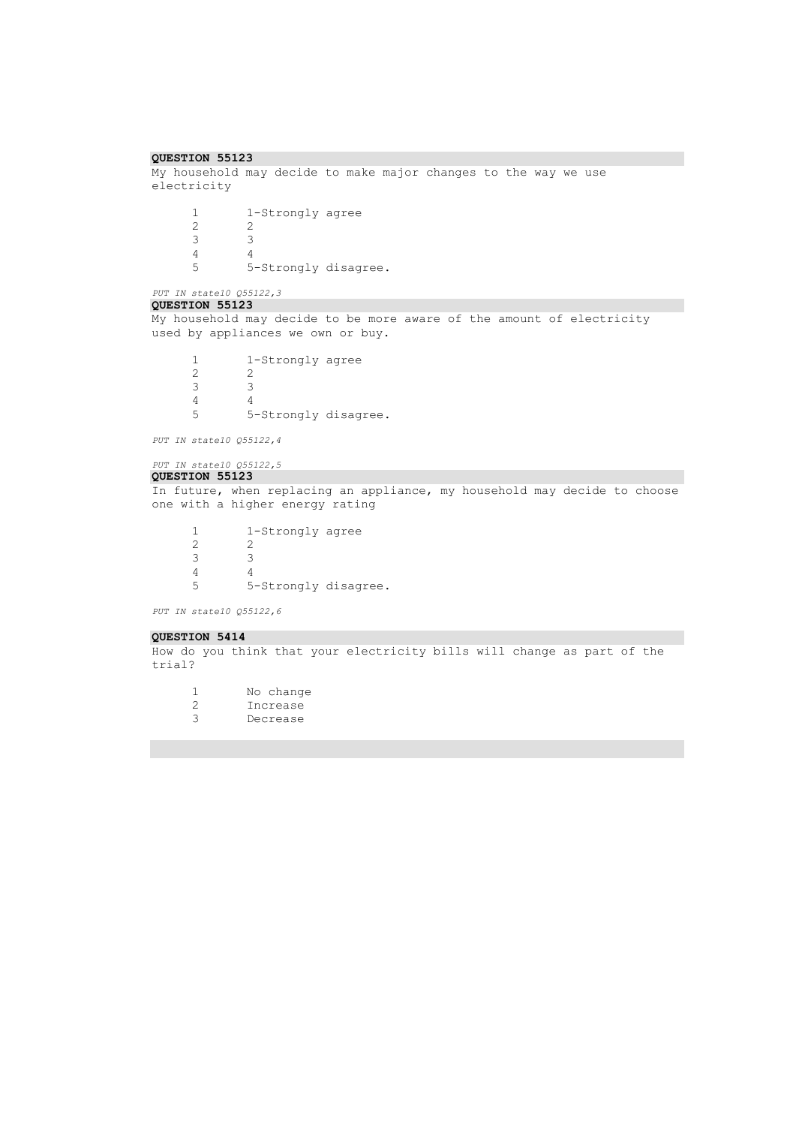```
QUESTION 55123 
My household may decide to make major changes to the way we use 
electricity
       1 1-Strongly agree
       \begin{array}{ccc} 2 & \hspace{1.5cm} 2 \\ 3 & \hspace{1.5cm} 3 \end{array}3 3
       \begin{array}{ccc} 4 & & 4 \\ 5 & & 5 \end{array}5 5-Strongly disagree.
PUT IN state10 Q55122,3 
QUESTION 55123 
My household may decide to be more aware of the amount of electricity 
used by appliances we own or buy.
       1 1-Strongly agree<br>2 2
       \frac{2}{3}3 3
       \begin{array}{ccc} 4 & & 4 \\ 5 & & 5 \end{array}5 5-Strongly disagree.
PUT IN state10 Q55122,4 
PUT IN state10 Q55122,5 
QUESTION 55123 
In future, when replacing an appliance, my household may decide to choose 
one with a higher energy rating
       1 1-Strongly agree<br>2 2
       2 2
       3 3
       4 4<br>5 5
                 5 5-Strongly disagree.
PUT IN state10 Q55122,6 
QUESTION 5414 
How do you think that your electricity bills will change as part of the
```
trial?

1 No change 2 Increase 3 Decrease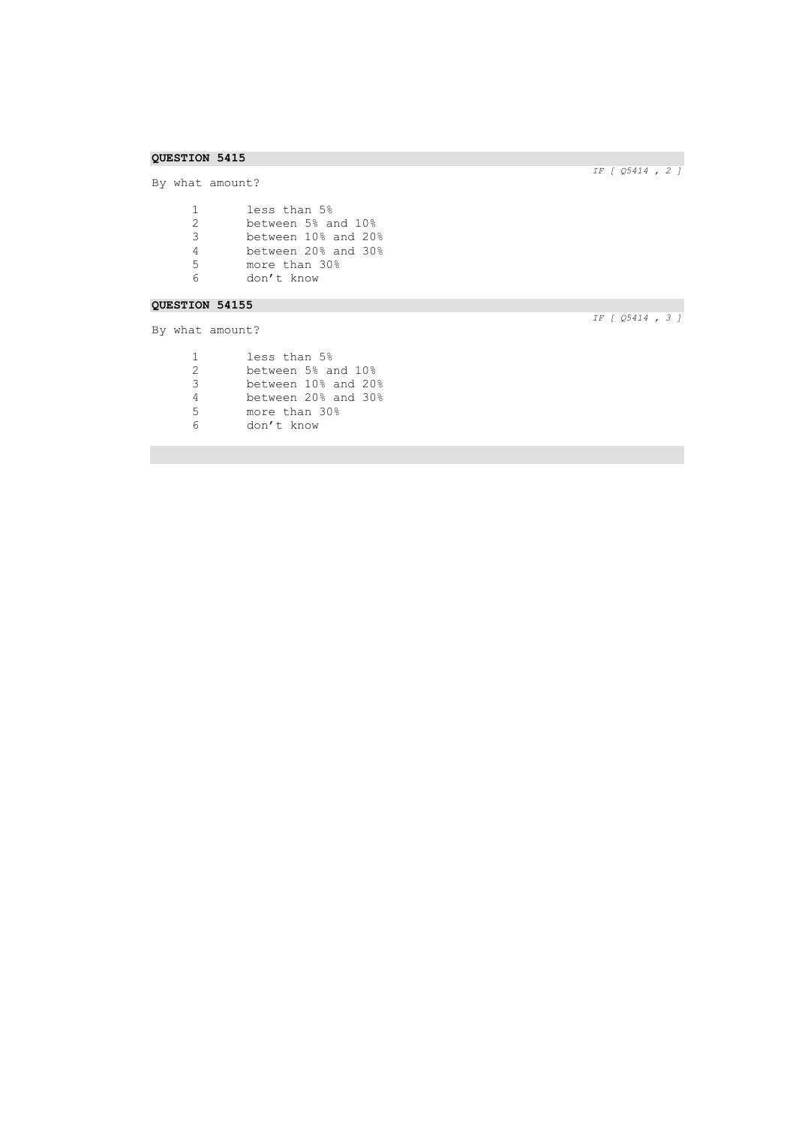By what amount?

| $\mathbf{1}$ | less than 5%        |
|--------------|---------------------|
| 2            | between 5% and 10%  |
| 3            | between 10% and 20% |
| 4            | between 20% and 30% |
| .5           | more than 30%       |
|              | don't know          |

# **QUESTION 54155**

By what amount?

|               | less than 5%  |                     |
|---------------|---------------|---------------------|
| $\mathcal{D}$ |               | between 5% and 10%  |
| 3             |               | between 10% and 20% |
| 4             |               | between 20% and 30% |
| 5             | more than 30% |                     |
|               | don't know    |                     |
|               |               |                     |

*IF [ Q5414 , 2 ]* 

*IF [ Q5414 , 3 ]*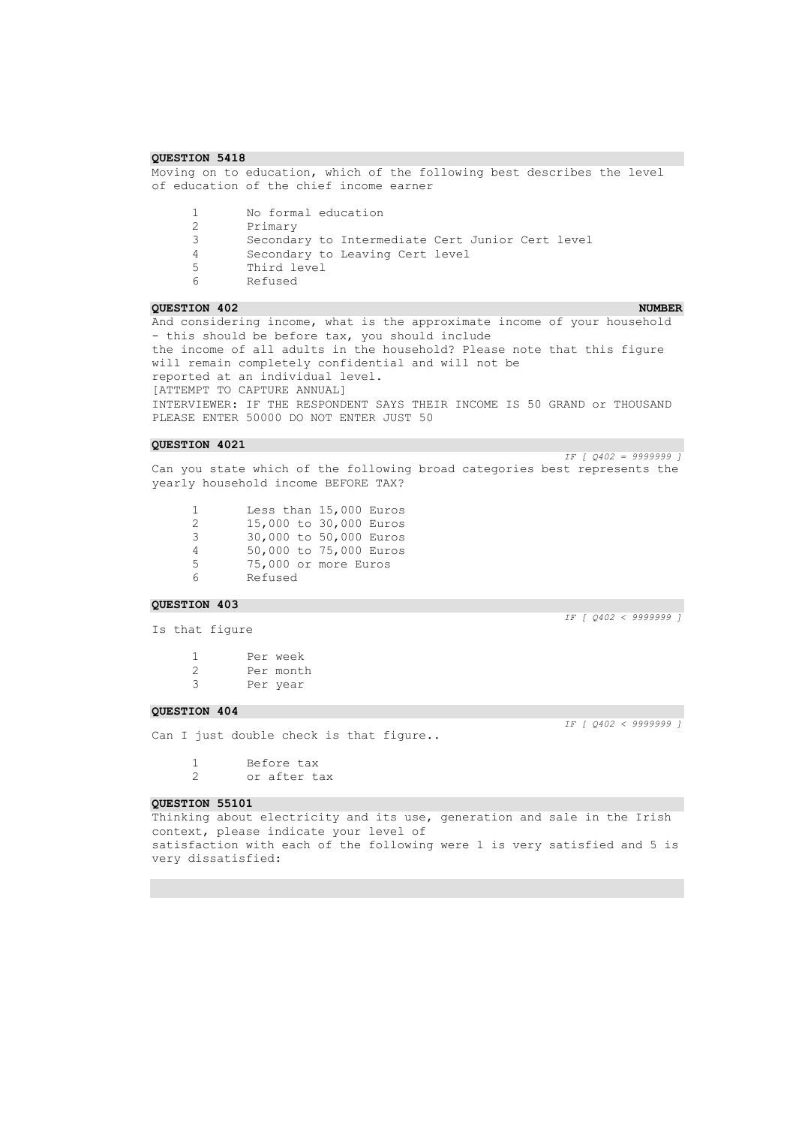Moving on to education, which of the following best describes the level of education of the chief income earner

1 No formal education<br>2 Primary

2 Primary<br>3 Seconda:

3 Secondary to Intermediate Cert Junior Cert level

4 Secondary to Leaving Cert level<br>5 Third level Third level

6 Refused

### **QUESTION 402 NUMBER**

And considering income, what is the approximate income of your household - this should be before tax, you should include the income of all adults in the household? Please note that this figure will remain completely confidential and will not be reported at an individual level. [ATTEMPT TO CAPTURE ANNUAL] INTERVIEWER: IF THE RESPONDENT SAYS THEIR INCOME IS 50 GRAND or THOUSAND PLEASE ENTER 50000 DO NOT ENTER JUST 50

### **QUESTION 4021**

*IF [ Q402 = 9999999 ]*  Can you state which of the following broad categories best represents the yearly household income BEFORE TAX?

1 Less than 15,000 Euros<br>2 15,000 to 30,000 Euros 15,000 to 30,000 Euros 30,000 to 50,000 Euros 50,000 to 75,000 Euros 75,000 or more Euros 6 Refused

### **QUESTION 403**

*IF [ Q402 < 9999999 ]* 

*IF [ Q402 < 9999999 ]* 

Is that figure

1 Per week 2 Per month<br>3 Per vear Per year

### **QUESTION 404**

Can I just double check is that figure..

1 Before tax 2 or after tax

### **QUESTION 55101**

Thinking about electricity and its use, generation and sale in the Irish context, please indicate your level of satisfaction with each of the following were 1 is very satisfied and 5 is very dissatisfied: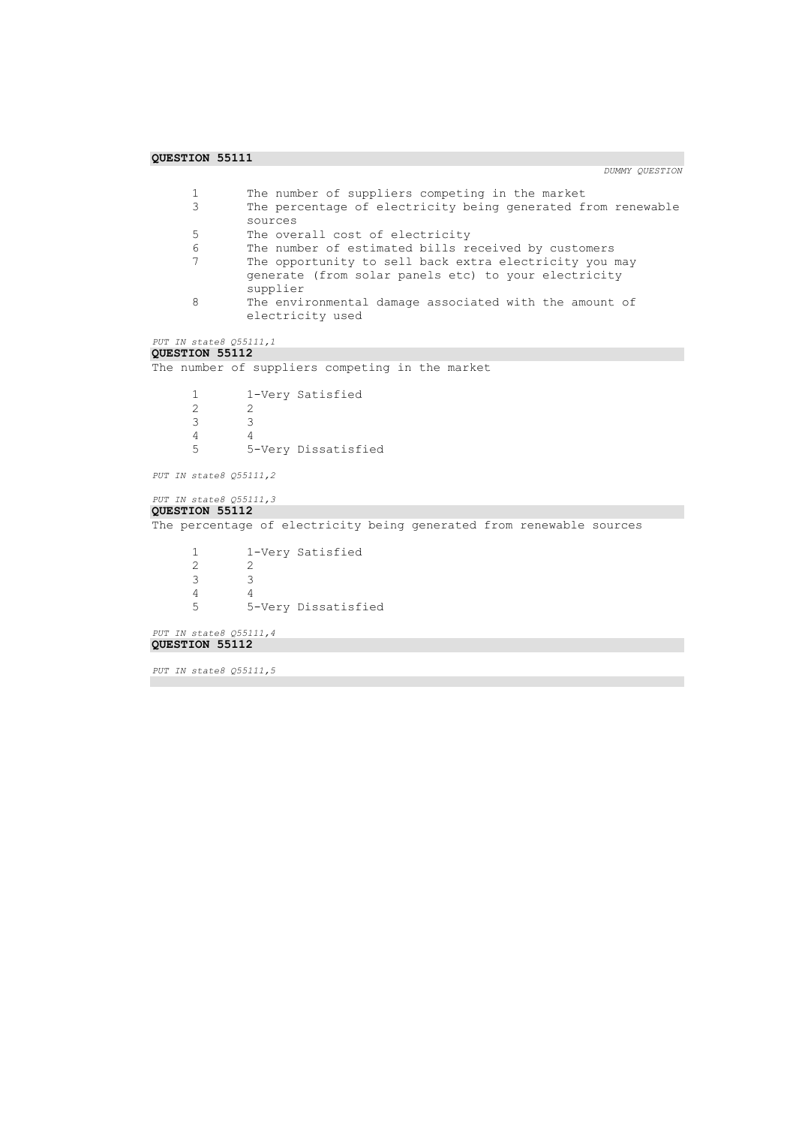```
1 The number of suppliers competing in the market<br>3 The percentage of electricity being generated f
                   The percentage of electricity being generated from renewable
                   sources
        5 The overall cost of electricity
        6 The number of estimated bills received by customers<br>7 The opportunity to sell back extra electricity you
                   The opportunity to sell back extra electricity you may
                   generate (from solar panels etc) to your electricity 
                   supplier
        8 The environmental damage associated with the amount of 
                   electricity used
PUT IN state8 Q55111,1 
QUESTION 55112 
The number of suppliers competing in the market
        1 1-Very Satisfied
        \begin{array}{ccc}\n2 & 2 \\
3 & 3\n\end{array}\begin{array}{ccc} 3 & \hspace{1.5cm} & 3 \\ 4 & \hspace{1.5cm} & 4 \end{array}\begin{array}{ccc} 4 & & 4 \\ 5 & & 5 \end{array}5 5-Very Dissatisfied
PUT IN state8 Q55111,2 
PUT IN state8 Q55111,3 
QUESTION 55112 
The percentage of electricity being generated from renewable sources
        1 1-Very Satisfied
        \begin{array}{ccc} 2 & & 2 \\ 3 & & 3 \end{array}\begin{array}{ccc} 3 & & 3 \\ 4 & & 4 \end{array}\frac{4}{5}5 5-Very Dissatisfied
PUT IN state8 Q55111,4 
QUESTION 55112 
PUT IN state8 Q55111,5
```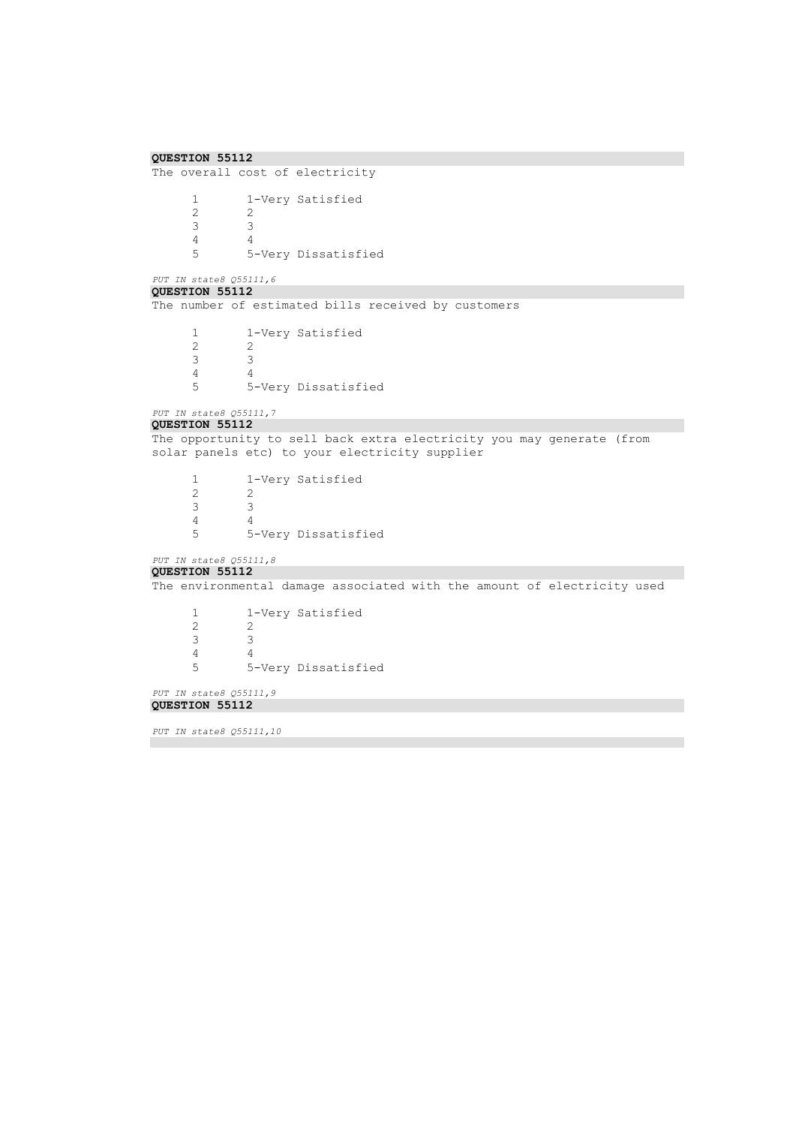```
QUESTION 55112 
The overall cost of electricity
        1 1-Very Satisfied<br>2 2
        \frac{2}{3}3 3
        \frac{4}{5}5 5-Very Dissatisfied
PUT IN state8 Q55111,6 
QUESTION 55112 
The number of estimated bills received by customers
        1 1-Very Satisfied<br>2 2
                    \frac{2}{3}3 3
        \begin{array}{ccc} 4 & & 4 \\ 5 & & 5 \end{array}5 5-Very Dissatisfied
PUT IN state8 Q55111,7 
QUESTION 55112 
The opportunity to sell back extra electricity you may generate (from 
solar panels etc) to your electricity supplier
        1 1-Very Satisfied
        \begin{array}{ccc} 2 & & 2 \\ 3 & & 3 \end{array}\begin{array}{ccc} 3 & \hspace{1.5cm} & 3 \\ 4 & \hspace{1.5cm} & 4 \end{array}\begin{array}{ccc} 4 & & 4 \\ 5 & & 5 \end{array}5 5-Very Dissatisfied
PUT IN state8 Q55111,8 
QUESTION 55112 
The environmental damage associated with the amount of electricity used
        1 1-Very Satisfied
        \begin{array}{ccc} 2 & 2 \\ 3 & 3 \end{array}3 3
        \begin{array}{cc} 4 & 4 \\ 5 & 5 \end{array}5 5-Very Dissatisfied
PUT IN state8 Q55111,9 
QUESTION 55112 
PUT IN state8 Q55111,10
```